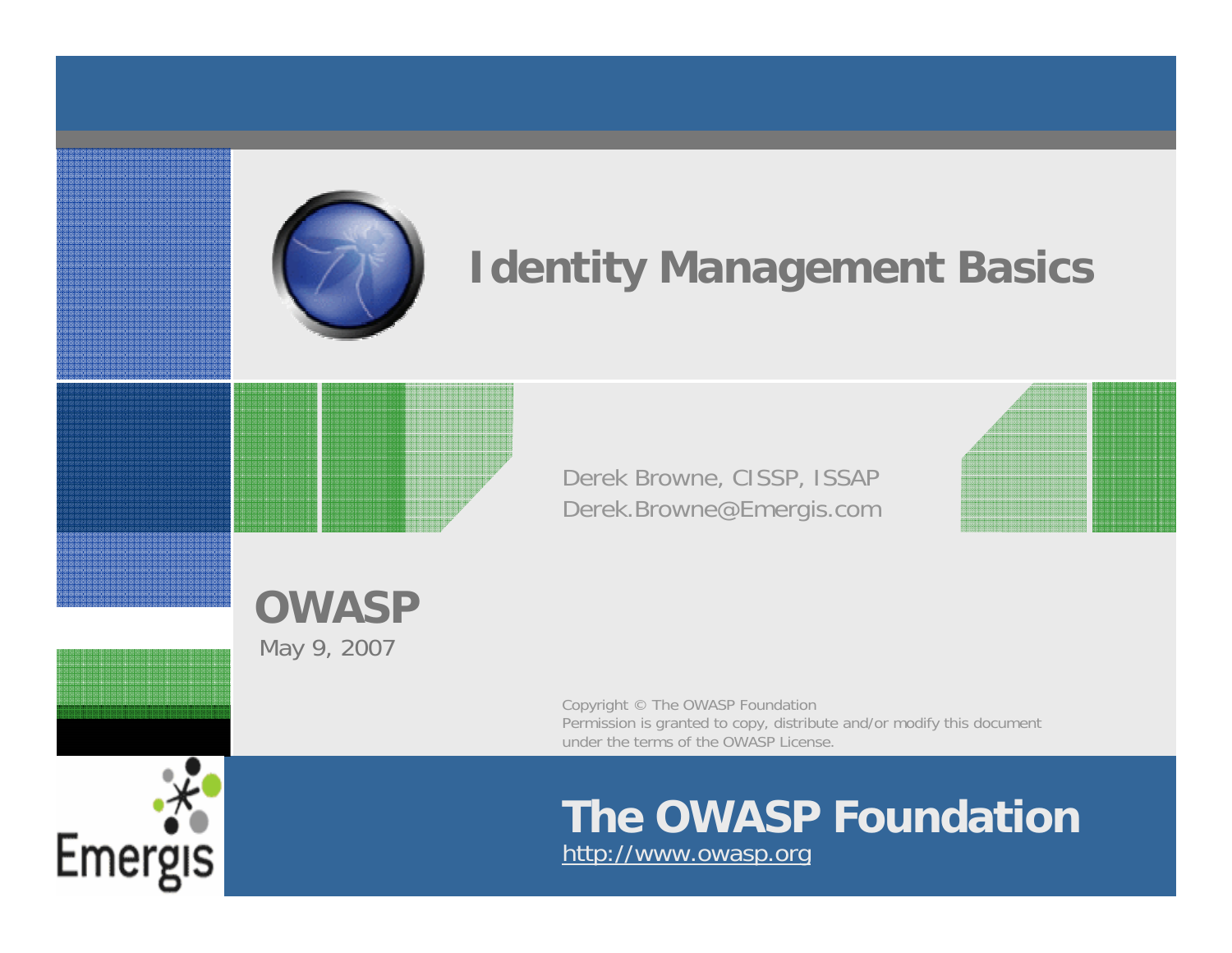

## **Identity Management Basics**

Derek Browne, CISSP, ISSAP Derek.Browne@Emergis.com

**OWASP**May 9, 2007

> Copyright © The OWASP Foundation Permission is granted to copy, distribute and/or modify this document under the terms of the OWASP License.

### **The OWASP Foundation** http://www.owasp.org

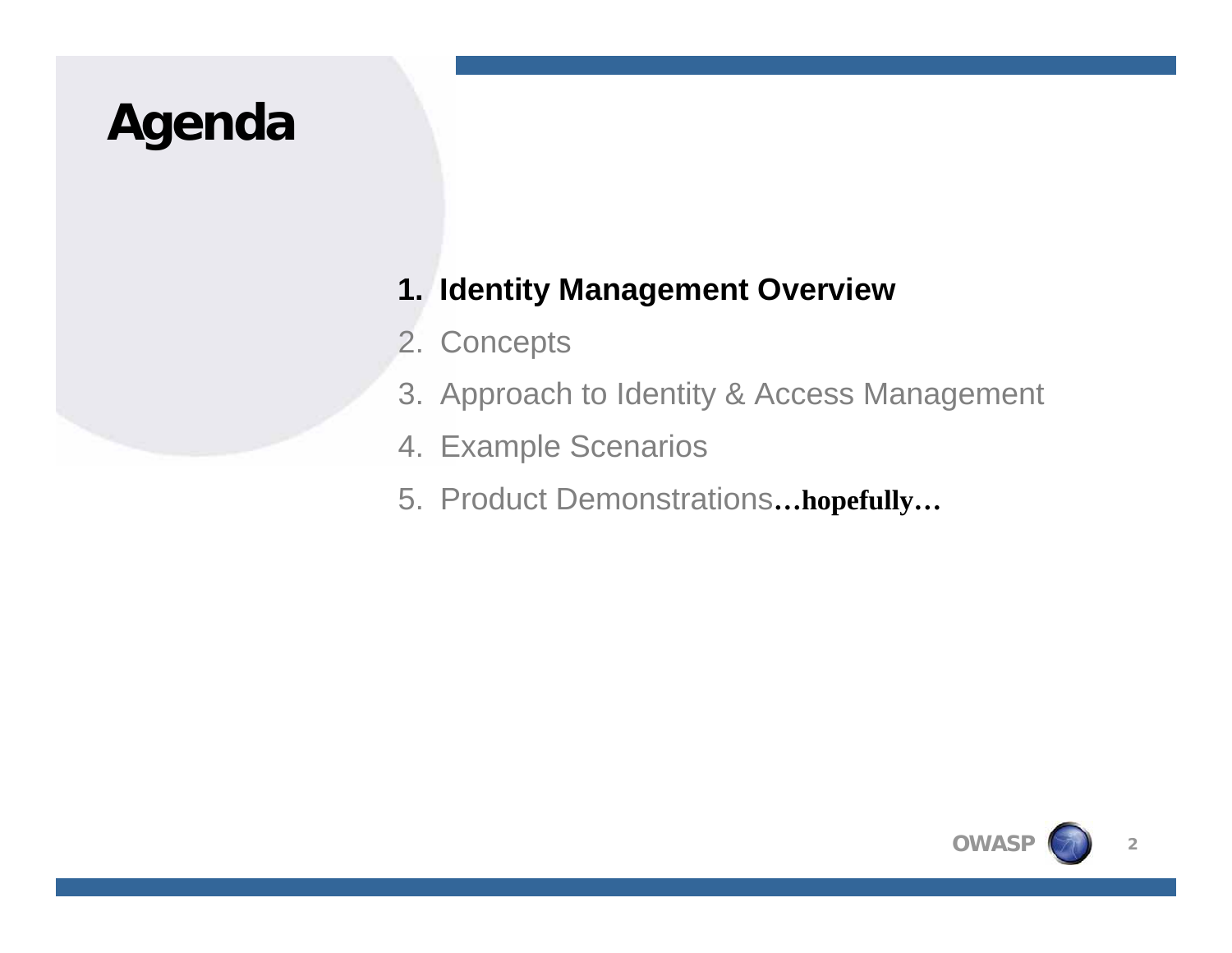# **Agenda**

### **1. Identity Management Overview**

- 2. Concepts
- 3. Approach to Identity & Access Management
- 4. Example Scenarios
- 5. Product Demonstrations**…hopefully…**

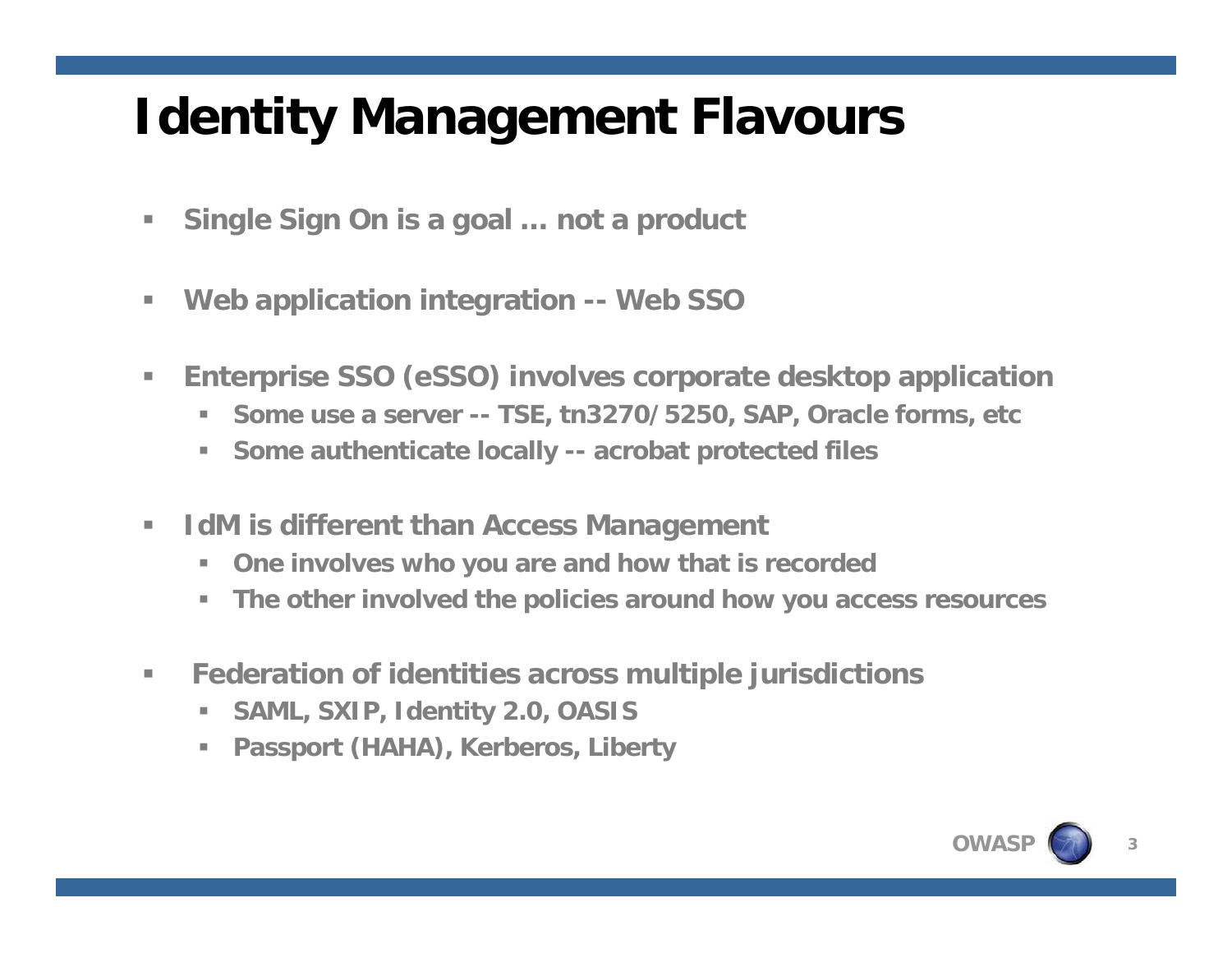# **Identity Management Flavours**

- $\mathcal{L}_{\mathcal{A}}$ **Single Sign On is a goal … not a product**
- $\overline{\phantom{a}}$ **Web application integration -- Web SSO**
- ×. **Enterprise SSO (eSSO) involves corporate desktop application**
	- **Some use a server -- TSE, tn3270/5250, SAP, Oracle forms, etc**
	- **Some authenticate locally -- acrobat protected files**
- $\mathcal{L}_{\mathcal{A}}$  **IdM is different than Access Management**
	- $\mathcal{L}_{\mathcal{A}}$ **One involves who you are and how that is recorded**
	- **The other involved the policies around how you access resources**
- $\mathcal{L}_{\mathcal{A}}$  **Federation of identities across multiple jurisdictions** 
	- $\mathcal{L}_{\mathcal{A}}$ **SAML, SXIP, Identity 2.0, OASIS**
	- **Passport (HAHA), Kerberos, Liberty**

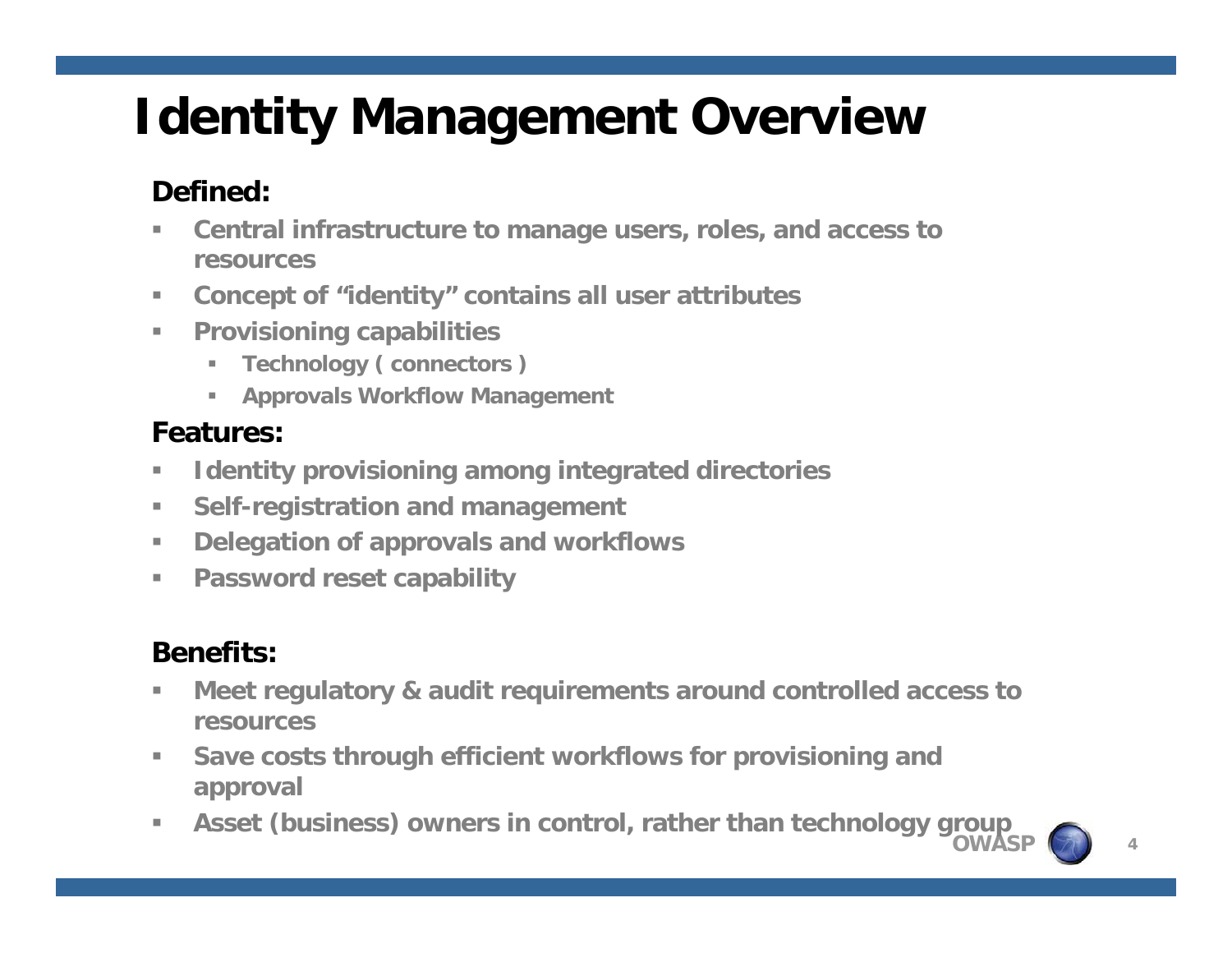# **Identity Management Overview**

### **Defined:**

- ш **Central infrastructure to manage users, roles, and access to resources**
- $\mathcal{L}_{\mathcal{A}}$ **Concept of "identity" contains all user attributes**
- $\mathbb{R}^n$  **Provisioning capabilities**
	- $\mathbb{R}^n$ **Technology ( connectors )**
	- $\mathbb{R}^n$ **Approvals Workflow Management**

### **Features:**

- $\overline{\phantom{a}}$ **Identity provisioning among integrated directories**
- m. **Self-registration and management**
- $\mathbb{R}^n$ **Delegation of approvals and workflows**
- $\mathbf{u}$ **Password reset capability**

### **Benefits:**

- **In Meet regulatory & audit requirements around controlled access to resources**
- $\mathbf{u}$  **Save costs through efficient workflows for provisioning and approval**
- **OWASP** $\blacksquare$ **Asset (business) owners in control, rather than technology group**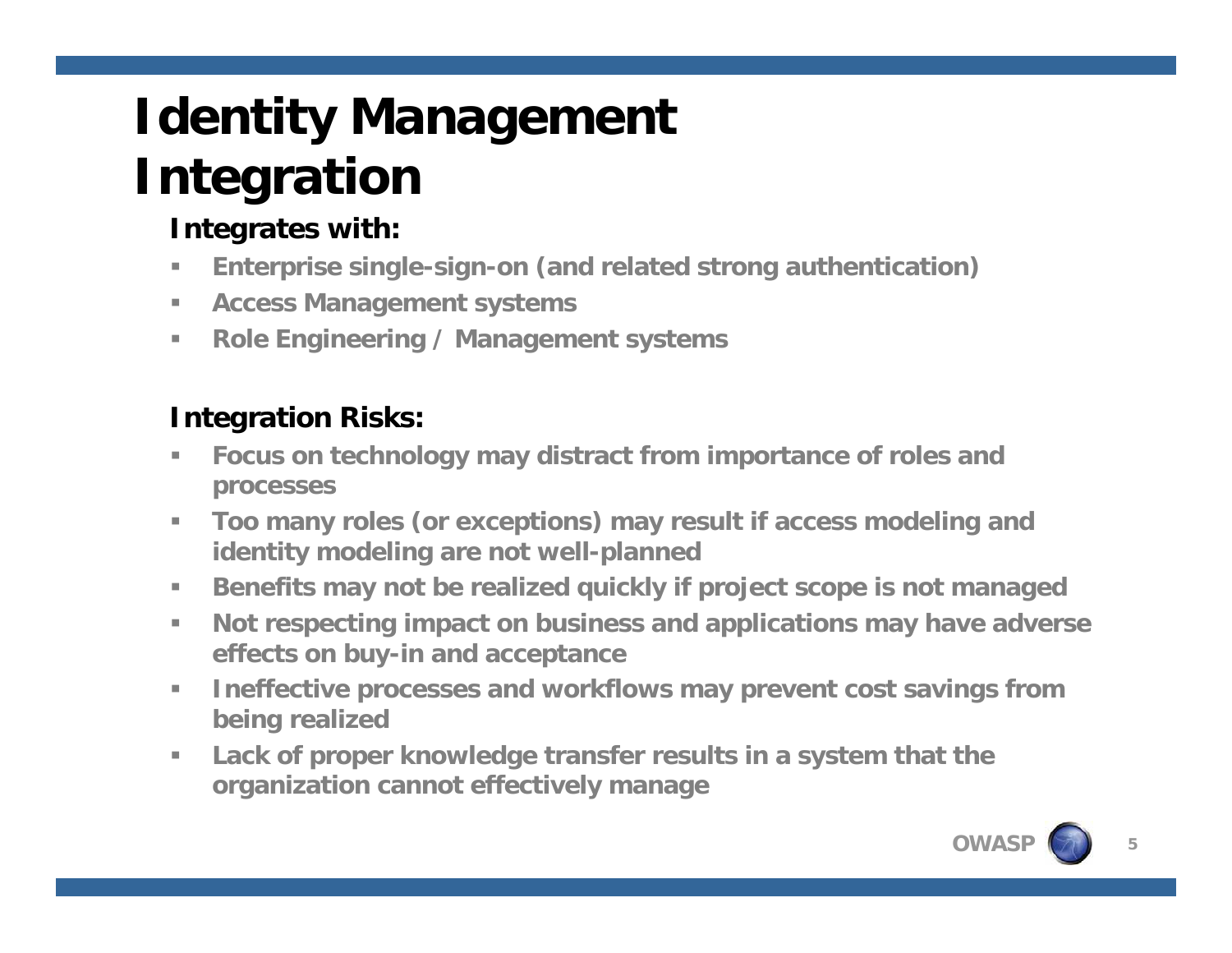# **Identity Management Integration**

### **Integrates with:**

- $\blacksquare$ **Enterprise single-sign-on (and related strong authentication)**
- $\mathbb{R}^n$ **Access Management systems**
- $\mathcal{L}_{\mathcal{A}}$ **Role Engineering / Management systems**

### **Integration Risks:**

- $\overline{\phantom{a}}$  **Focus on technology may distract from importance of roles and processes**
- $\mathbb{R}^n$  **Too many roles (or exceptions) may result if access modeling and identity modeling are not well-planned**
- $\mathbb{R}^n$ **Benefits may not be realized quickly if project scope is not managed**
- $\mathcal{L}_{\mathcal{A}}$  **Not respecting impact on business and applications may have adverse effects on buy-in and acceptance**
- $\mathcal{L}_{\mathcal{A}}$  **Ineffective processes and workflows may prevent cost savings from being realized**
- m. **Lack of proper knowledge transfer results in a system that the organization cannot effectively manage**

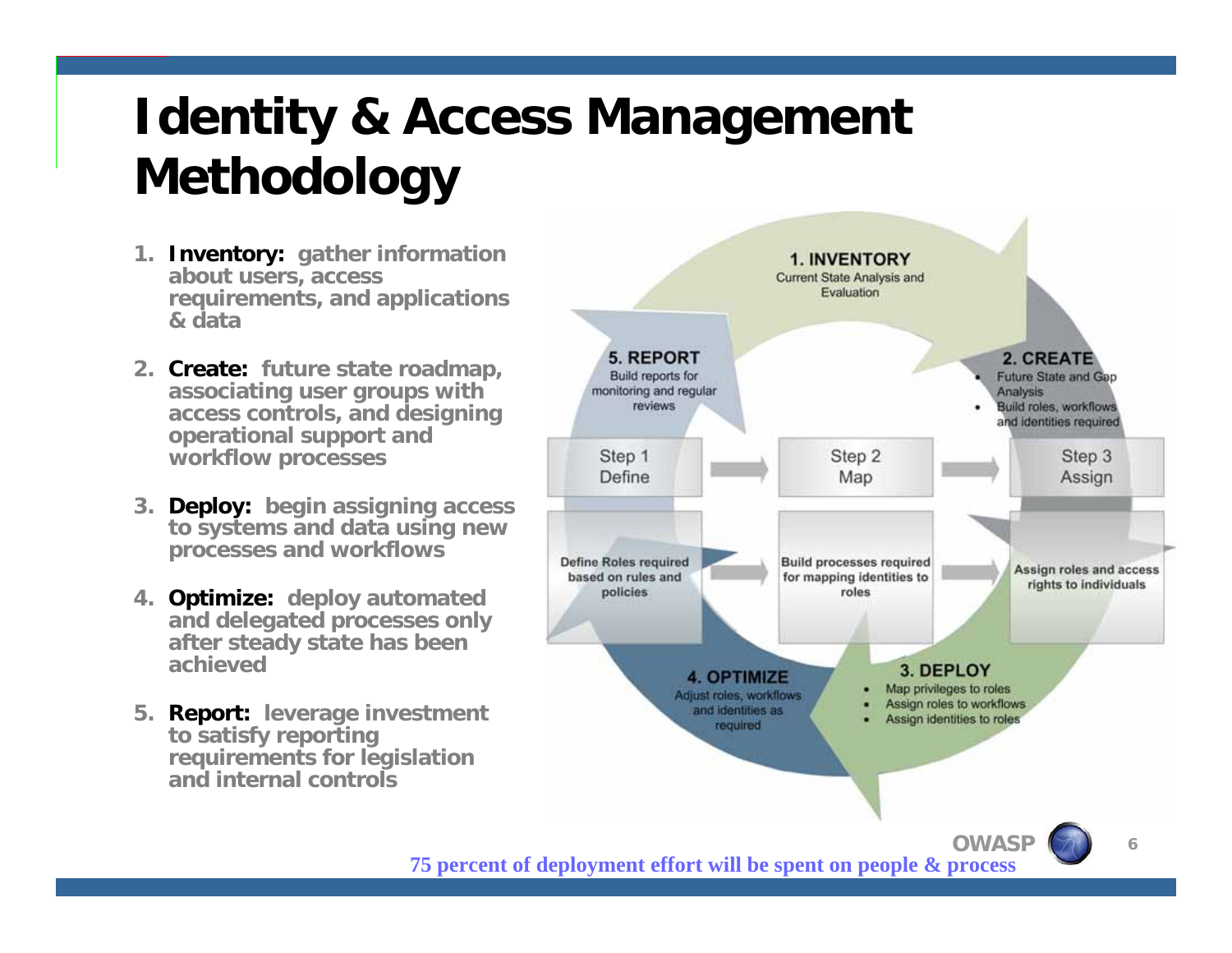# **Identity & Access Management Methodology**

- **1. Inventory: gather information about users, access requirements, and applications & data**
- **2. Create: future state roadmap, associating user groups with access controls, and designing operational support and workflow processes**
- **3. Deploy: begin assigning access to systems and data using new processes and workflows**
- **4. Optimize: deploy automated and delegated processes only after steady state has been achieved**
- **5. Report: leverage investment to satisfy reporting requirements for legislation and internal controls**



**OWASP75 percent of deployment effort will be spent on people & process**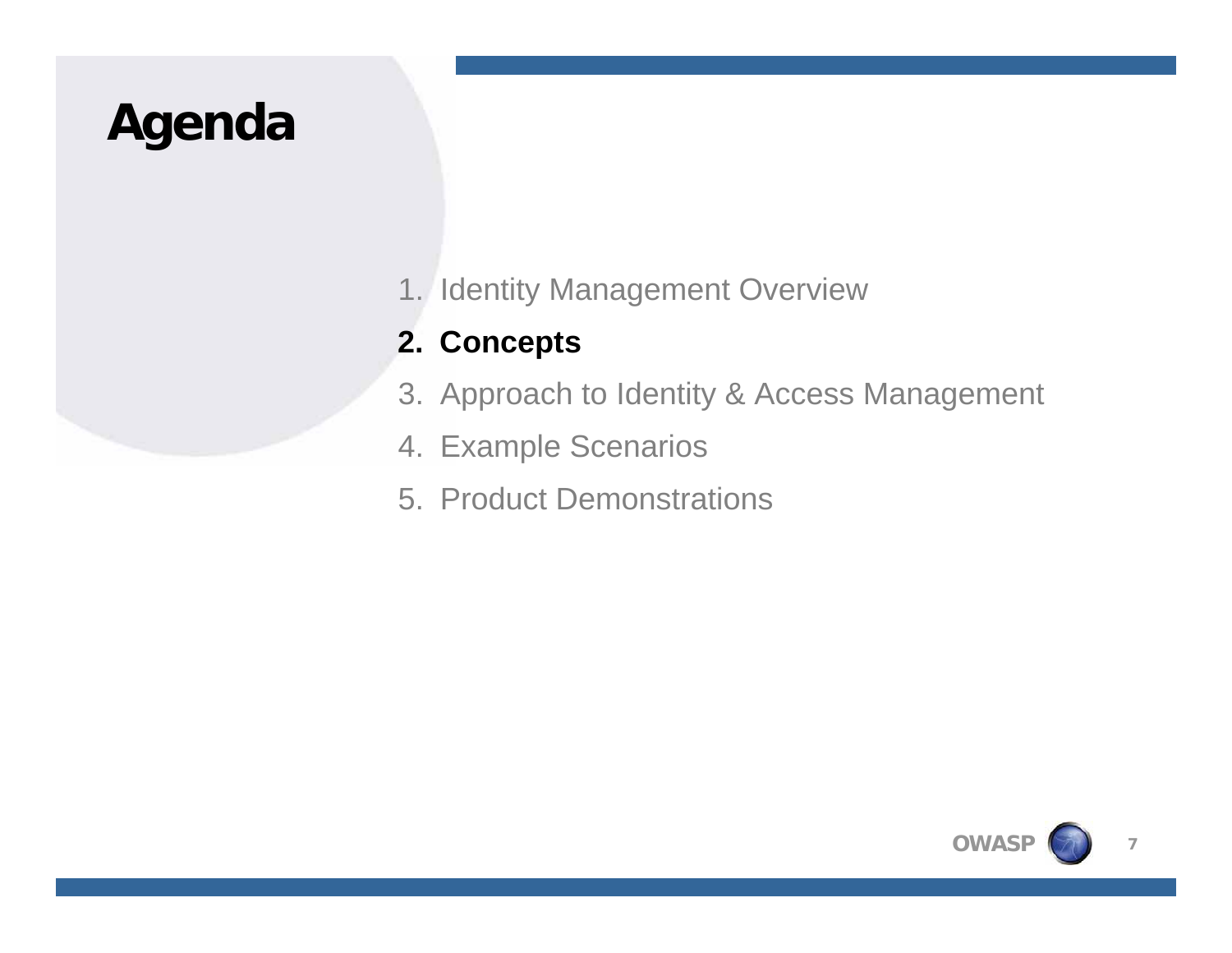# **Agenda**

1. Identity Management Overview

### **2. Concepts**

- 3. Approach to Identity & Access Management
- 4. Example Scenarios
- 5. Product Demonstrations

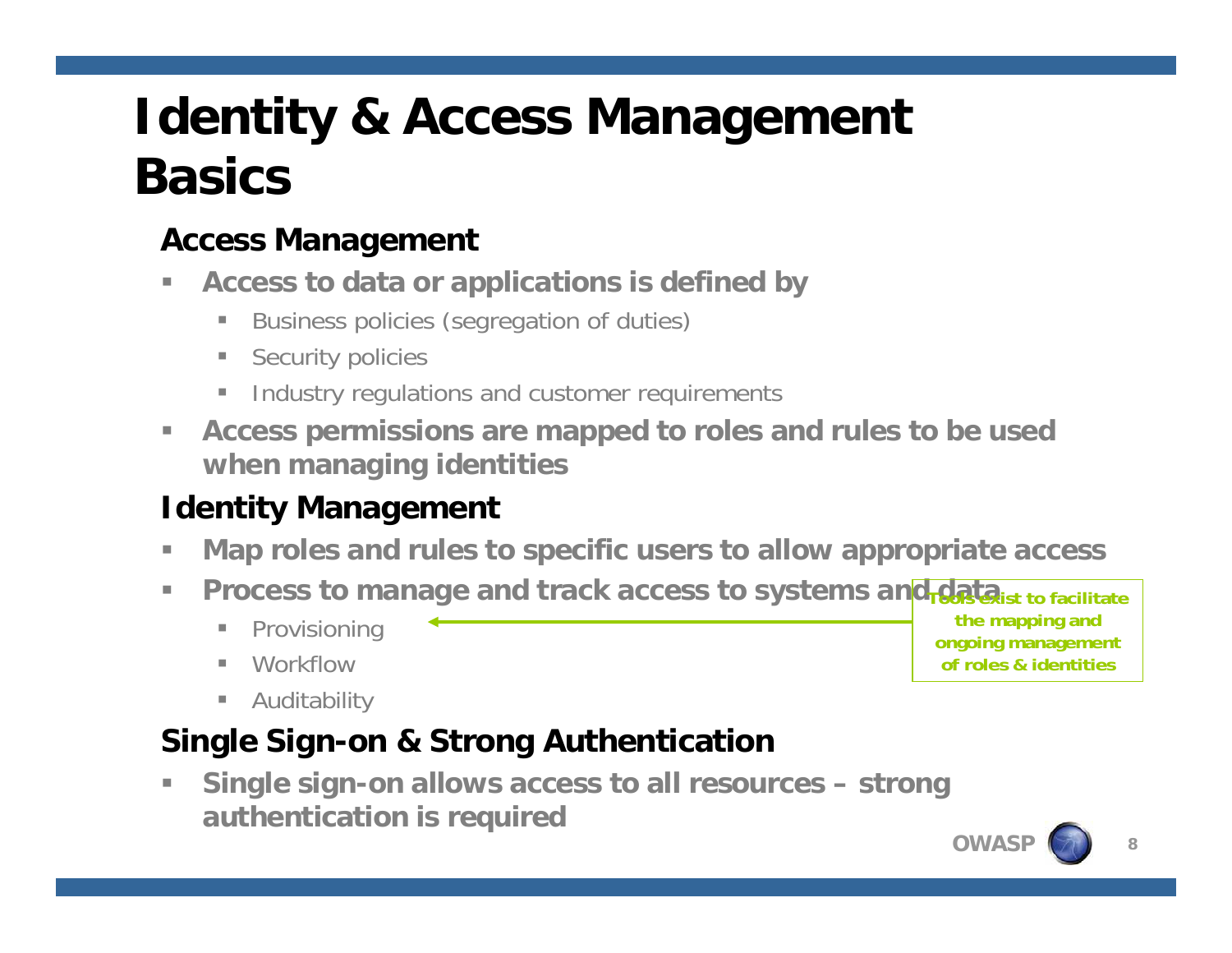# **Identity & Access Management Basics**

### **Access Management**

- $\overline{\phantom{a}}$  **Access to data or applications is defined by**
	- $\mathbb{R}^n$ Business policies (segregation of duties)
	- $\mathcal{L}_{\mathcal{A}}$ Security policies
	- Industry regulations and customer requirements
- $\mathcal{L}_{\mathcal{A}}$  **Access permissions are mapped to roles and rules to be used when managing identities**

### **Identity Management**

- ×. **Map roles and rules to specific users to allow appropriate access**
- n. **Process to manage and track access to systems and data ist to facilitate** 
	- n. Provisioning
	- п. **Workflow**
	- $\blacksquare$ Auditability

### **Single Sign-on & Strong Authentication**

г **Single sign-on allows access to all resources – strong authentication is required**

**the mapping and ongoing management of roles & identities**

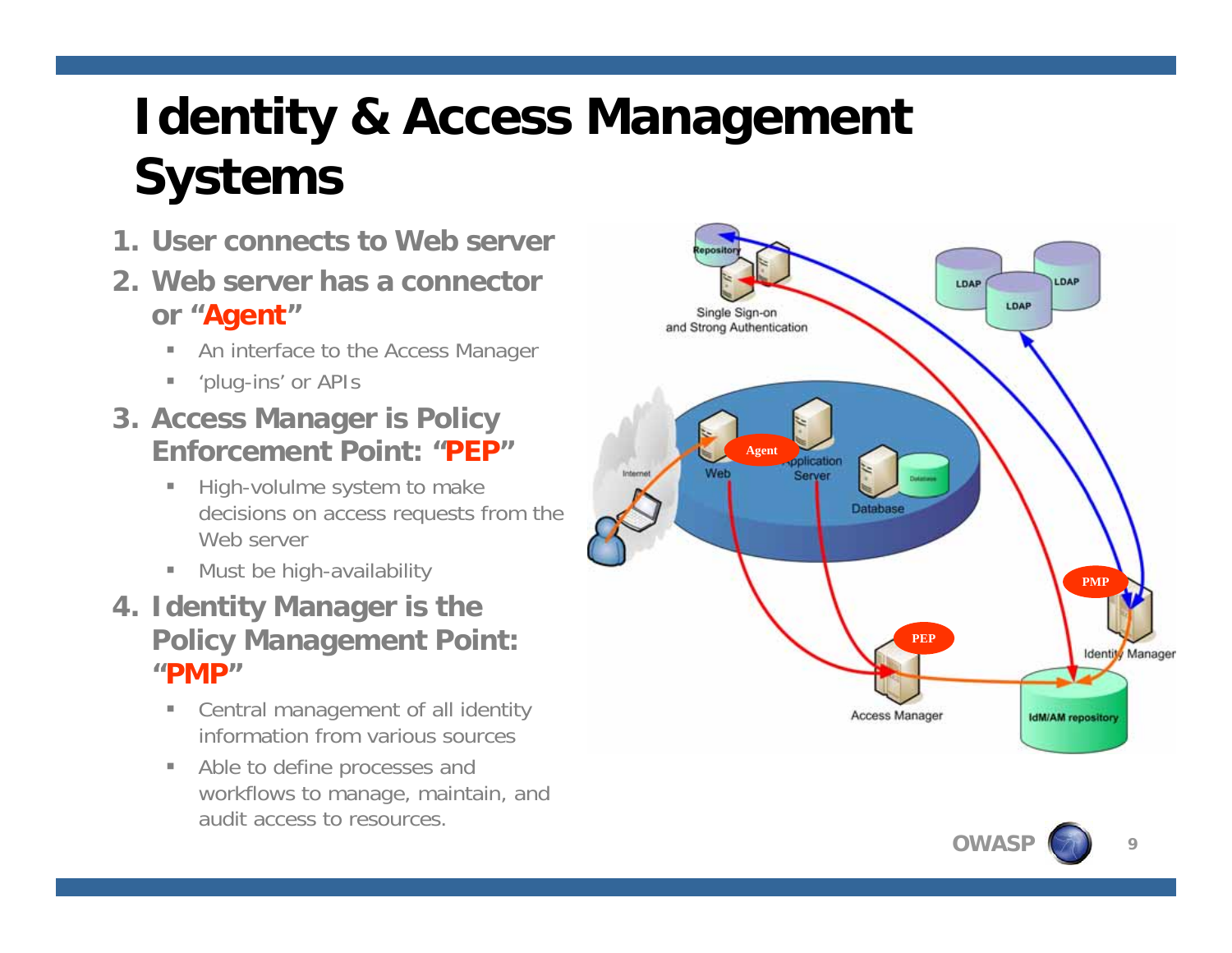# **Identity & Access Management Systems**

- **1. User connects to Web server**
- **2. Web server has a connectoror "Agent "**
	- $\mathbb{R}^2$ An interface to the Access Manager
	- $\mathbf{u}$ 'plug-ins' or APIs
- **3. Access Manager is Policy Enforcement Point: "PEP"**
	- $\mathbb{R}^n$  High-volulme system to make decisions on access requests from the Web server
	- **•** Must be high-availability
- **4. Identity Manager is the Policy Management Point: "PMP"**
	- $\mathbb{R}^n$  Central management of all identity information from various sources
	- $\mathbb{R}^n$  Able to define processes and workflows to manage, maintain, and audit access to resources.



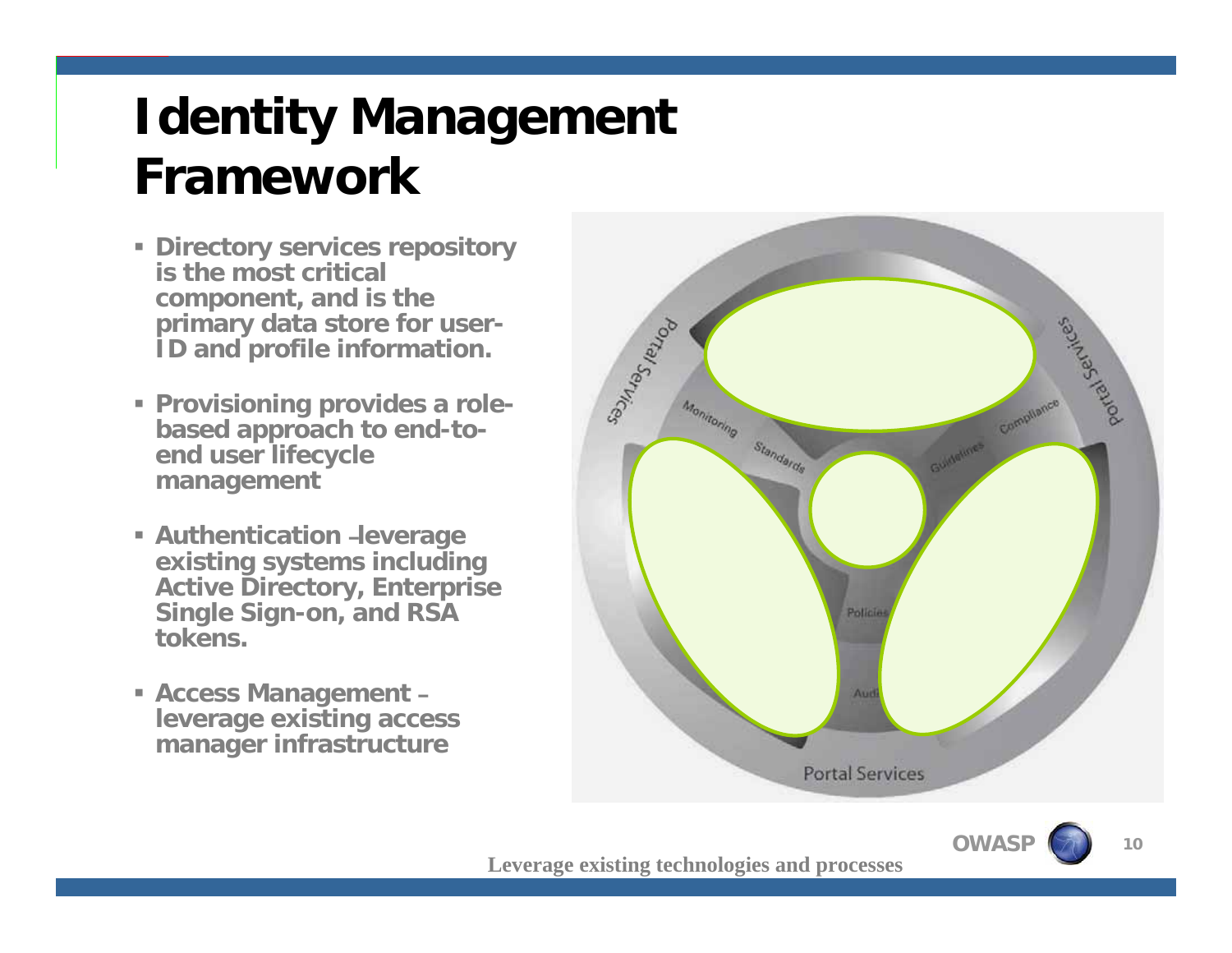# **Identity Management Framework**

- **Directory services repository is the most critical component, and is the primary data store for user-ID and profile information.**
- **Provisioning provides a rolebased approach to end-toend user lifecycle management**
- **E** Authentication -leverage **existing systems including Active Directory, Enterprise Single Sign-on, and RSA tokens.**
- **Access Management – leverage existing access manager infrastructure**



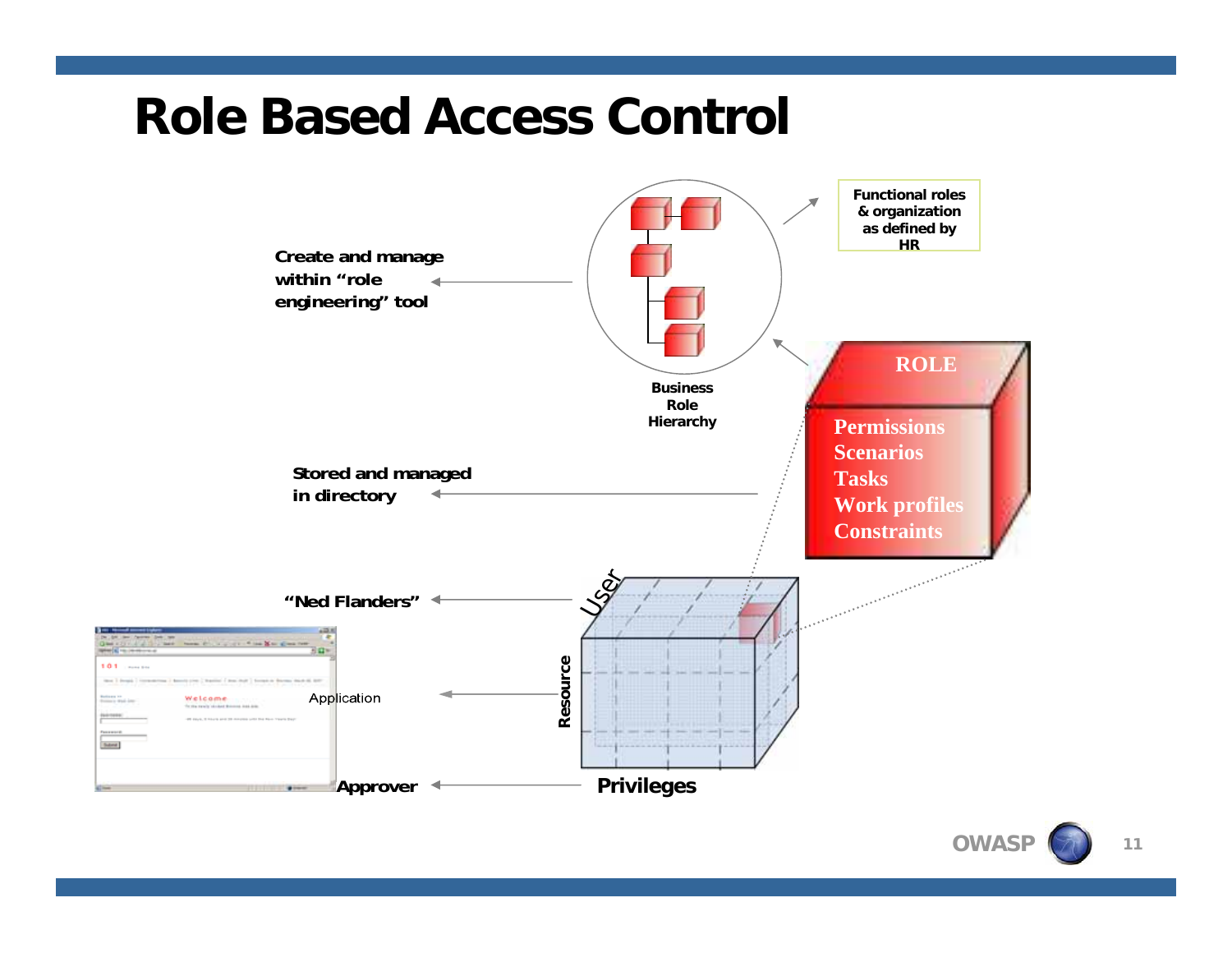## **Role Based Access Control**

i A i

**Subrut** 



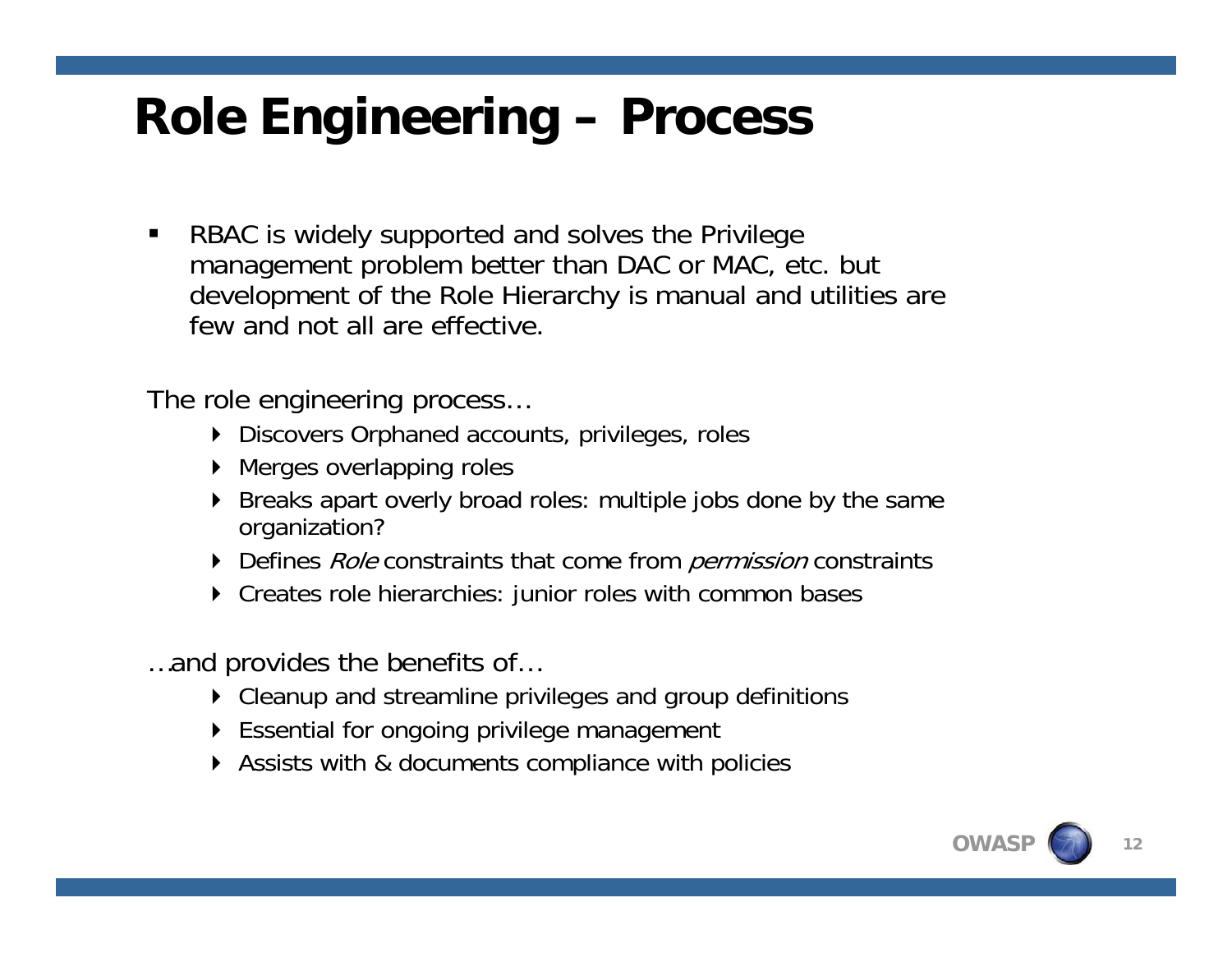# **Role Engineering – Process**

 $\blacksquare$  RBAC is widely supported and solves the Privilege management problem better than DAC or MAC, etc. but development of the Role Hierarchy is manual and utilities are few and not all are effective.

The role engineering process…

- Discovers Orphaned accounts, privileges, roles
- ▶ Merges overlapping roles
- ▶ Breaks apart overly broad roles: multiple jobs done by the same organization?
- Defines *Role* constraints that come from *permission* constraints
- Creates role hierarchies: junior roles with common bases
- …and provides the benefits of…
	- Cleanup and streamline privileges and group definitions
	- Essential for ongoing privilege management
	- Assists with & documents compliance with policies

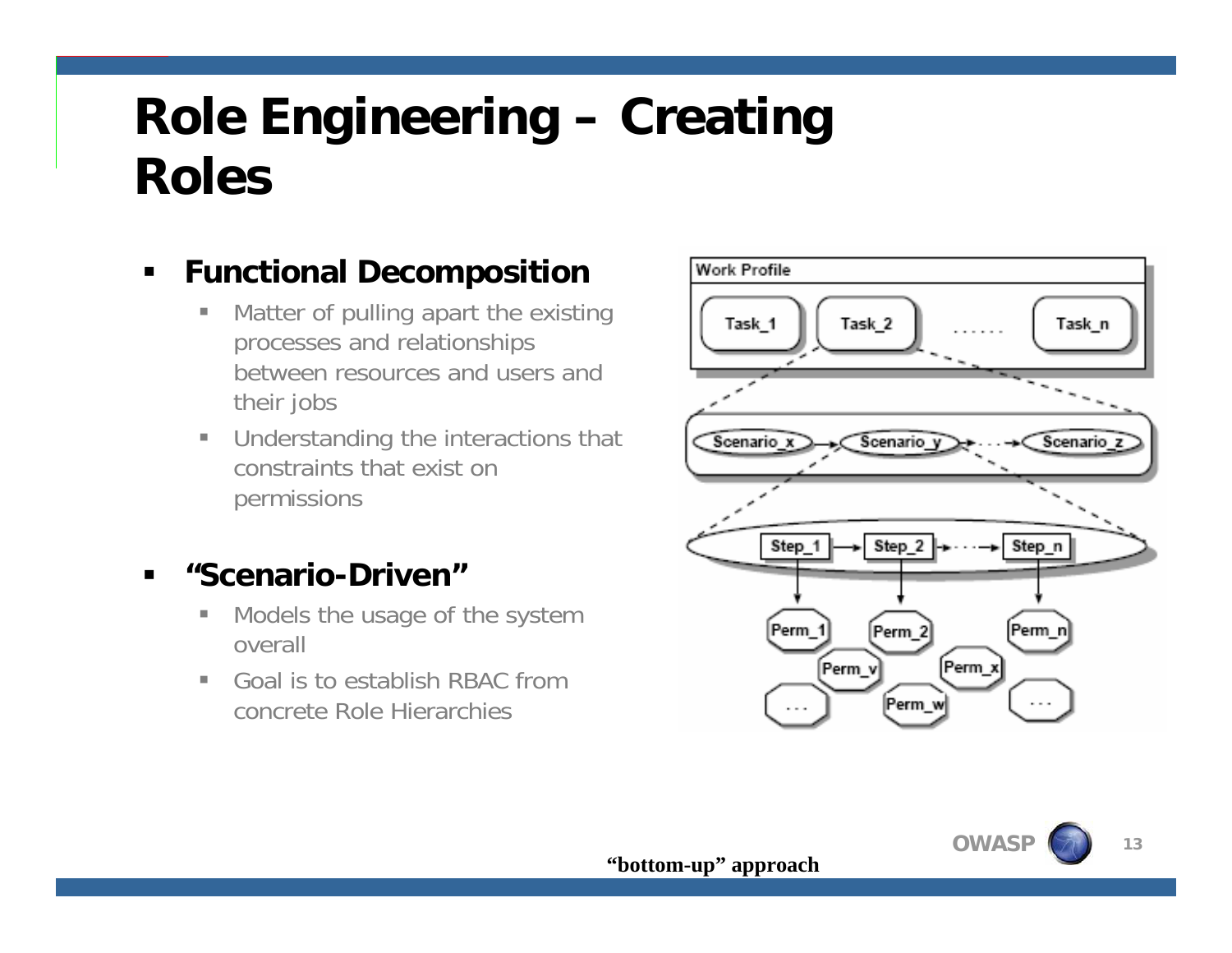# **Role Engineering – Creating Roles**

#### $\blacksquare$ **Functional Decomposition**

- $\overline{\phantom{a}}$  Matter of pulling apart the existing processes and relationships between resources and users and their jobs
- T. Understanding the interactions that constraints that exist on permissions

#### **"Scenario-Driven"**

- I. Models the usage of the system overall
- Goal is to establish RBAC from concrete Role Hierarchies



**13**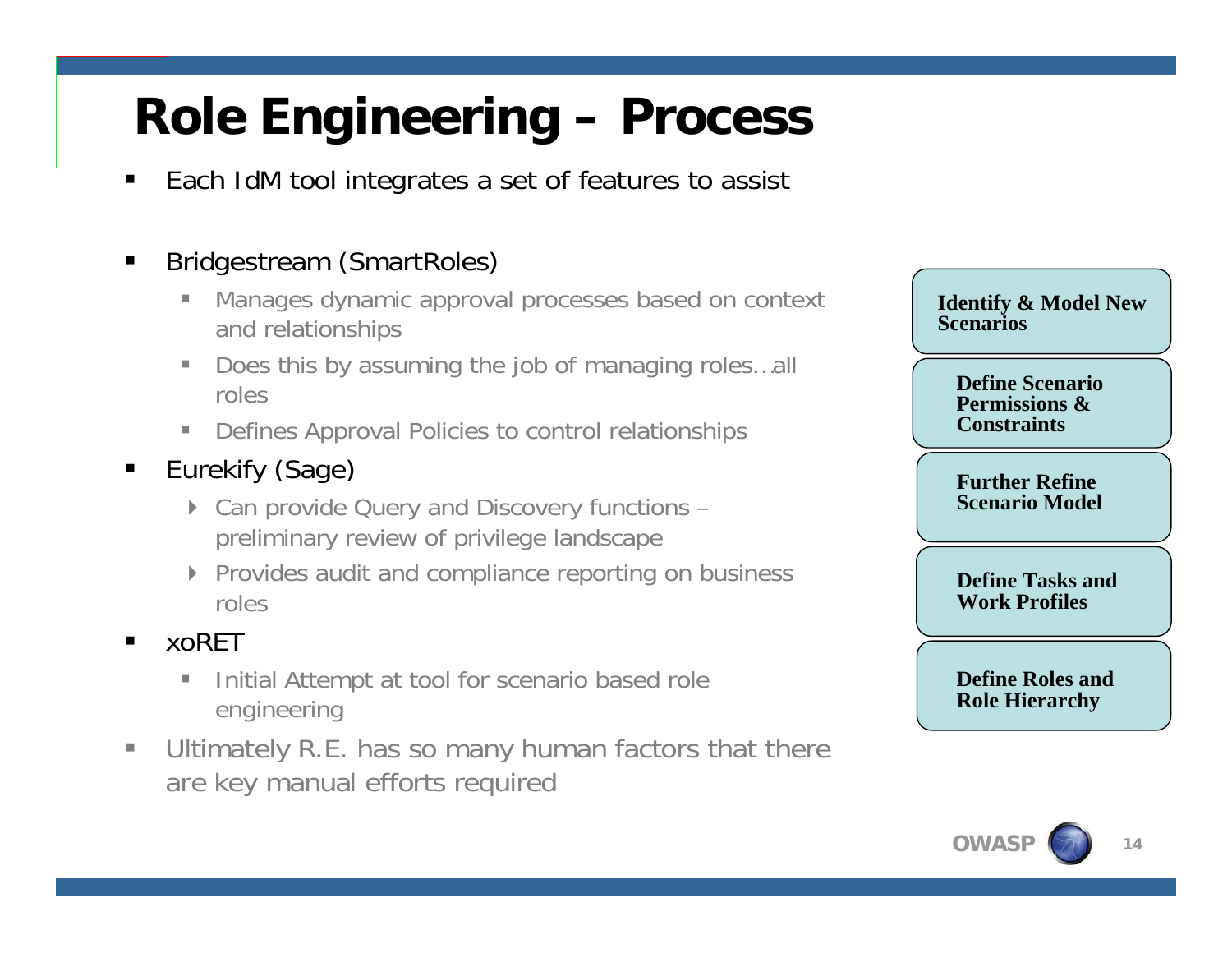# **Role Engineering – Process**

 $\blacksquare$ Each IdM tool integrates a set of features to assist

#### П Bridgestream (SmartRoles)

- г Manages dynamic approval processes based on context and relationships
- п Does this by assuming the job of managing roles…all roles
- $\blacksquare$ Defines Approval Policies to control relationships

#### $\blacksquare$ Eurekify (Sage)

- ▶ Can provide Query and Discovery functions preliminary review of privilege landscape
- ▶ Provides audit and compliance reporting on business roles

#### $\blacksquare$ xoRET

- $\blacksquare$  Initial Attempt at tool for scenario based role engineering
- $\mathcal{L}_{\mathcal{A}}$  Ultimately R.E. has so many human factors that there are key manual efforts required

**Identify & Model New Scenarios**

**Define Scenario Permissions & Constraints**

**Further Refine Scenario Model**

**Define Tasks and Work Profiles**

**Define Roles and Role Hierarchy**

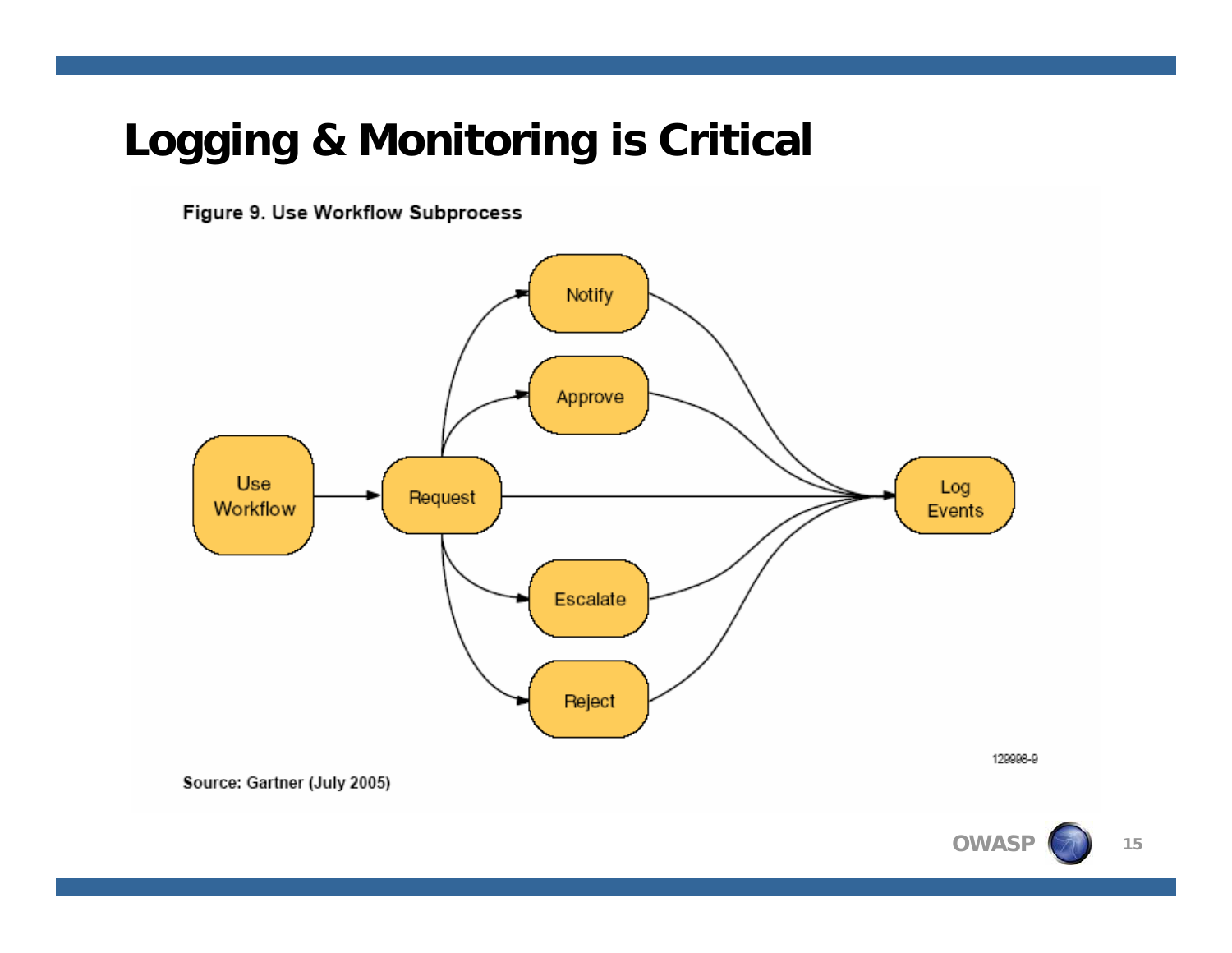## **Logging & Monitoring is Critical**

Figure 9. Use Workflow Subprocess



129998-9

Source: Gartner (July 2005)

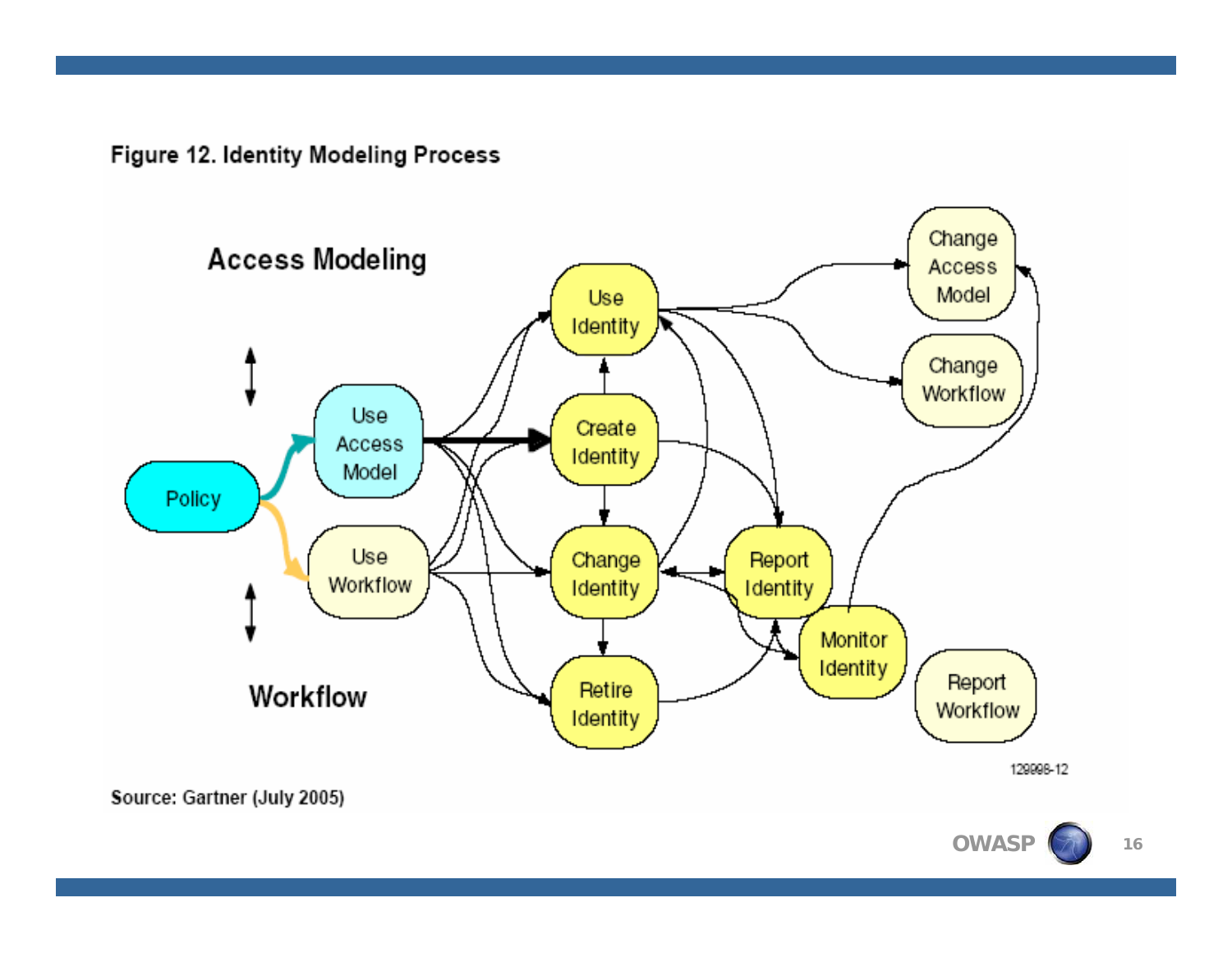Figure 12. Identity Modeling Process



129998-12

**16**

Source: Gartner (July 2005)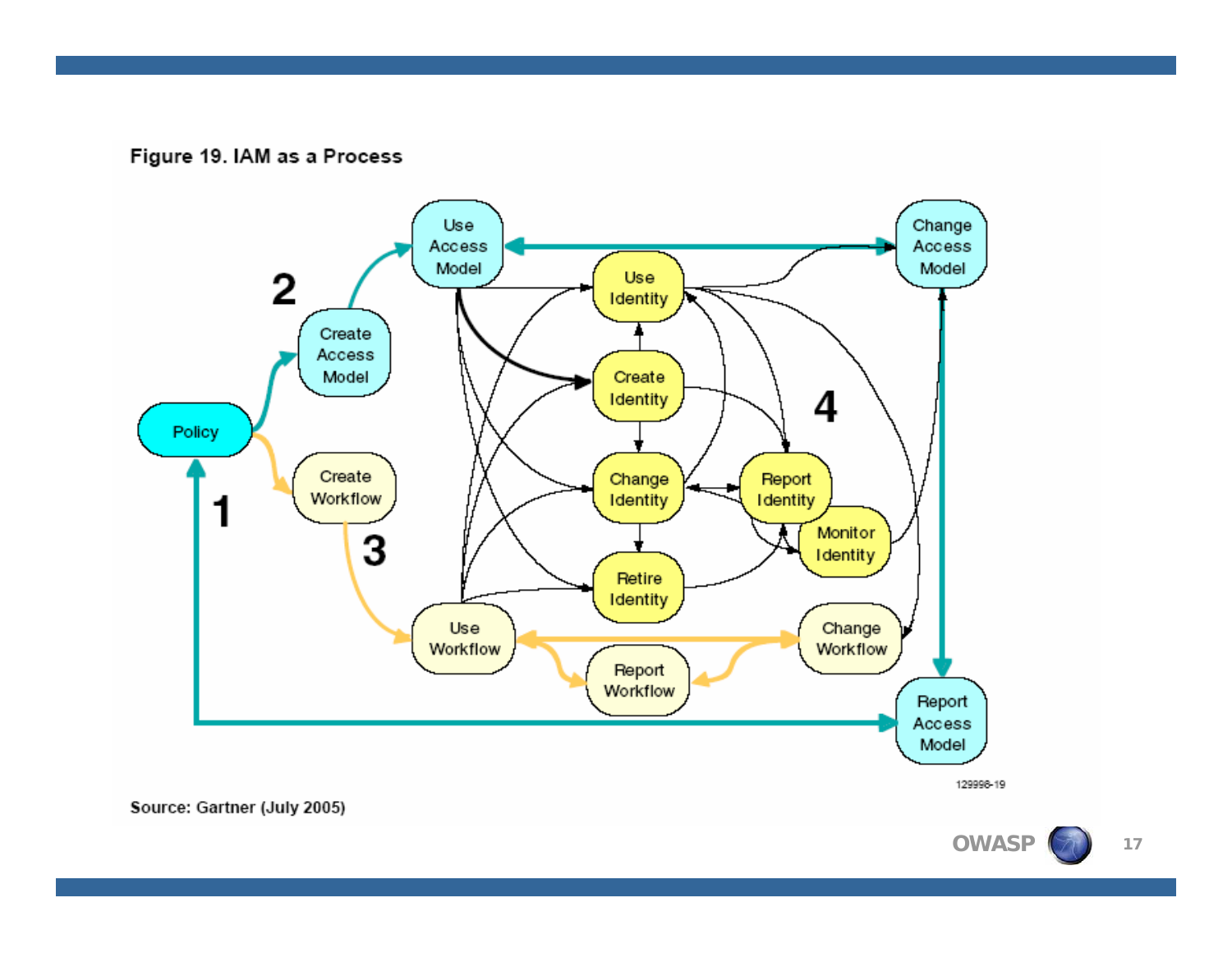#### Figure 19. IAM as a Process



129998-19

Source: Gartner (July 2005)

**OWASP**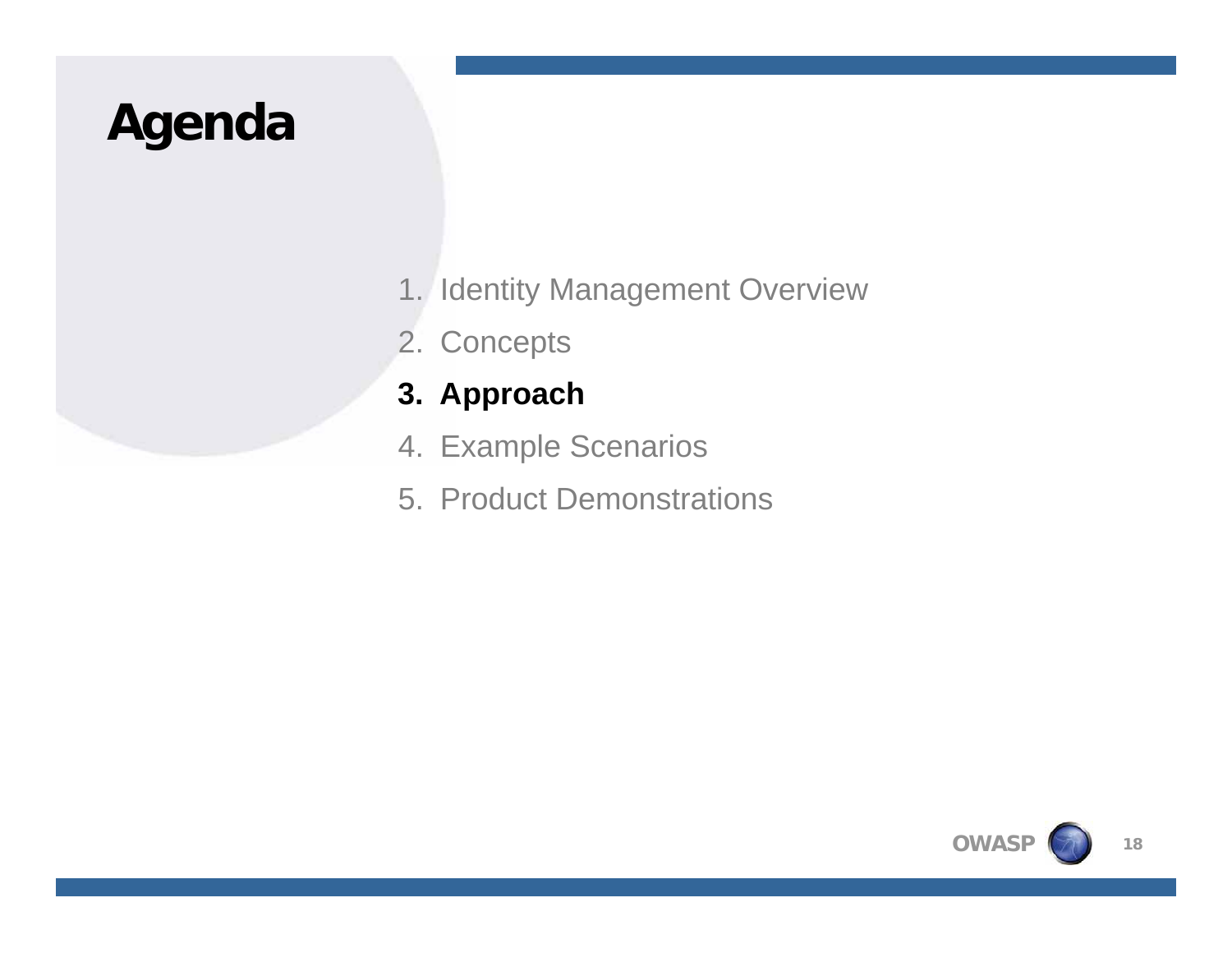# **Agenda**

- 1. Identity Management Overview
- 2. Concepts

### **3. Approach**

- 4. Example Scenarios
- 5. Product Demonstrations

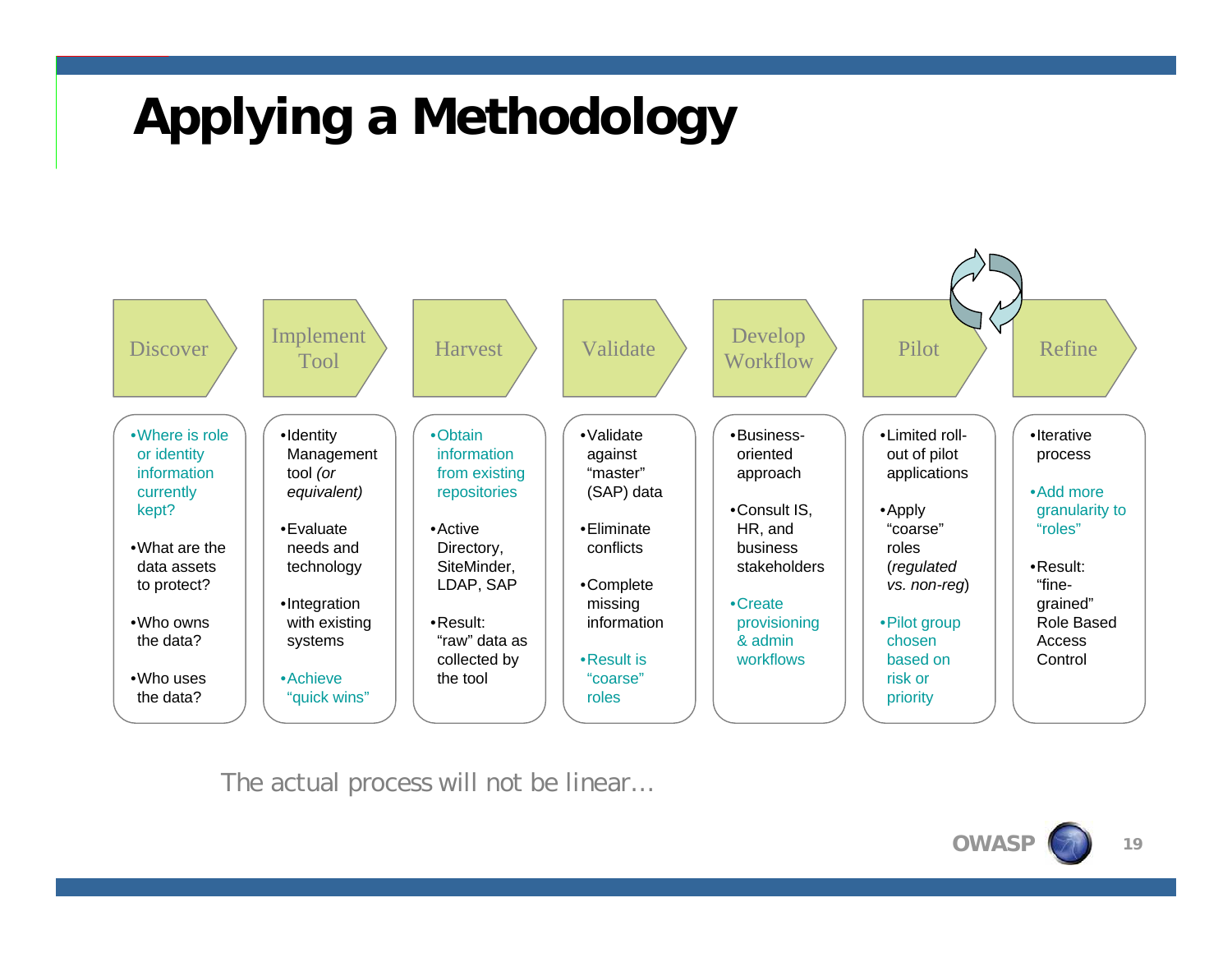# **Applying a Methodology**



The actual process will not be linear…

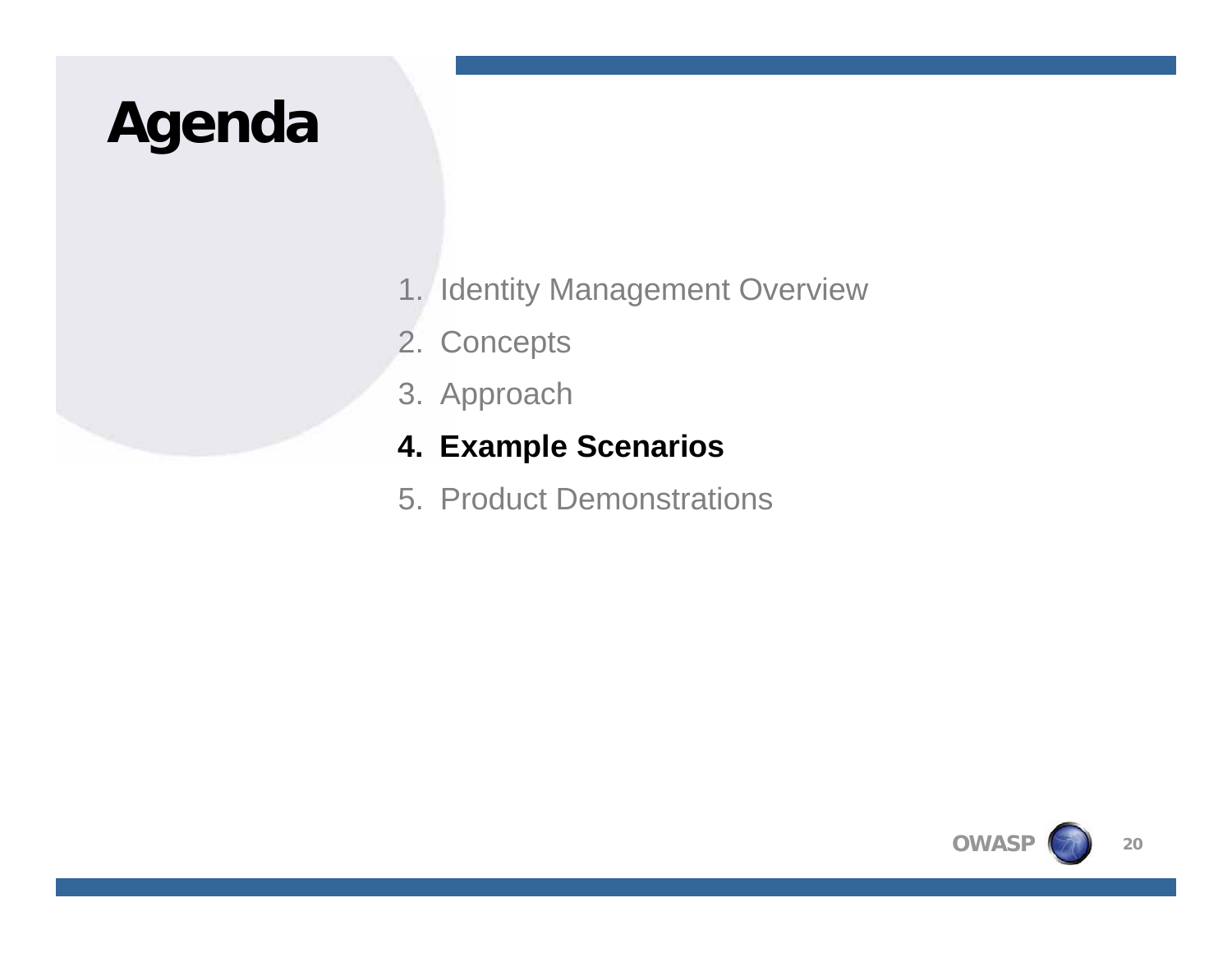# **Agenda**

- 1. Identity Management Overview
- 2. Concepts
- 3. Approach

### **4. Example Scenarios**

5. Product Demonstrations

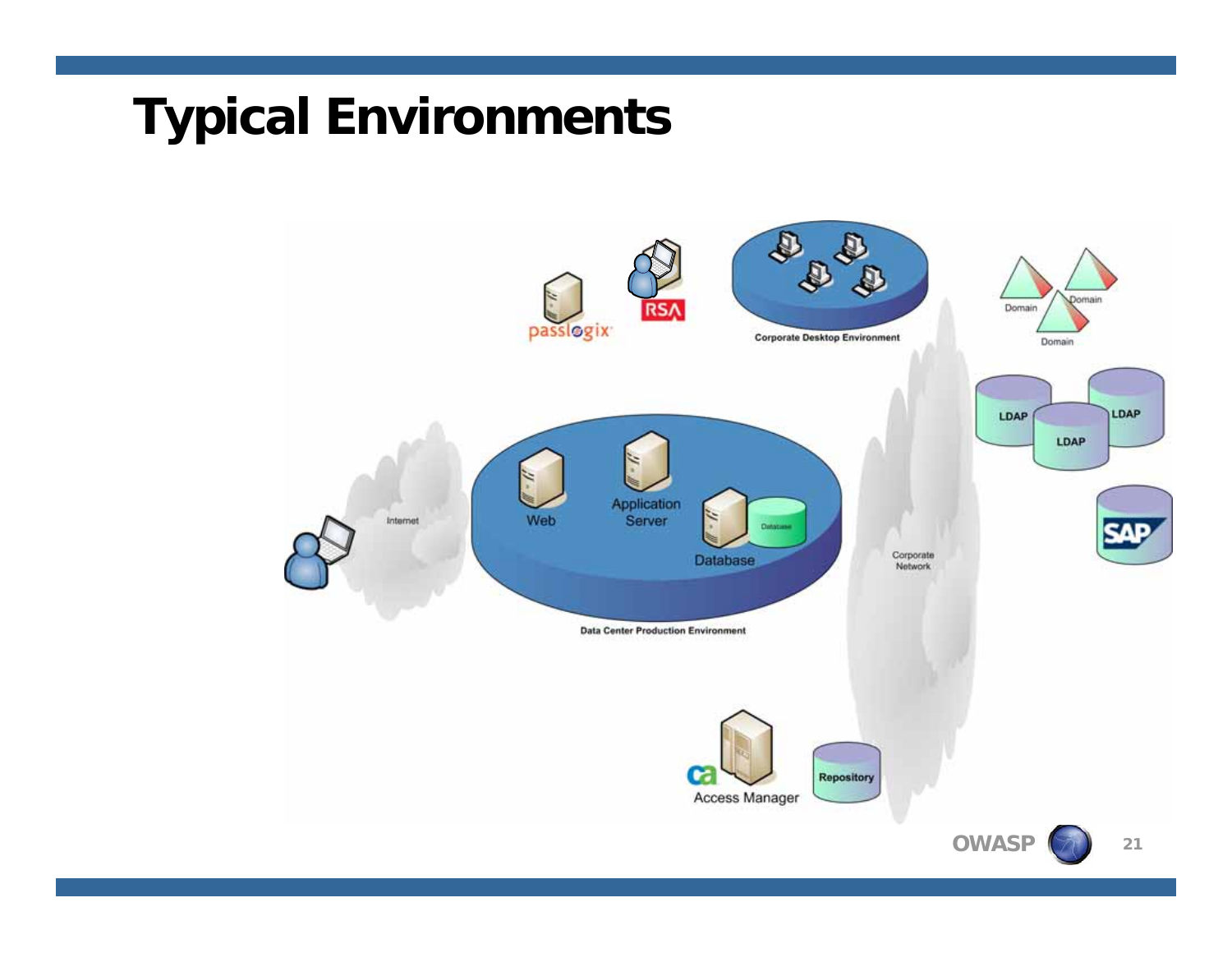# **Typical Environments**

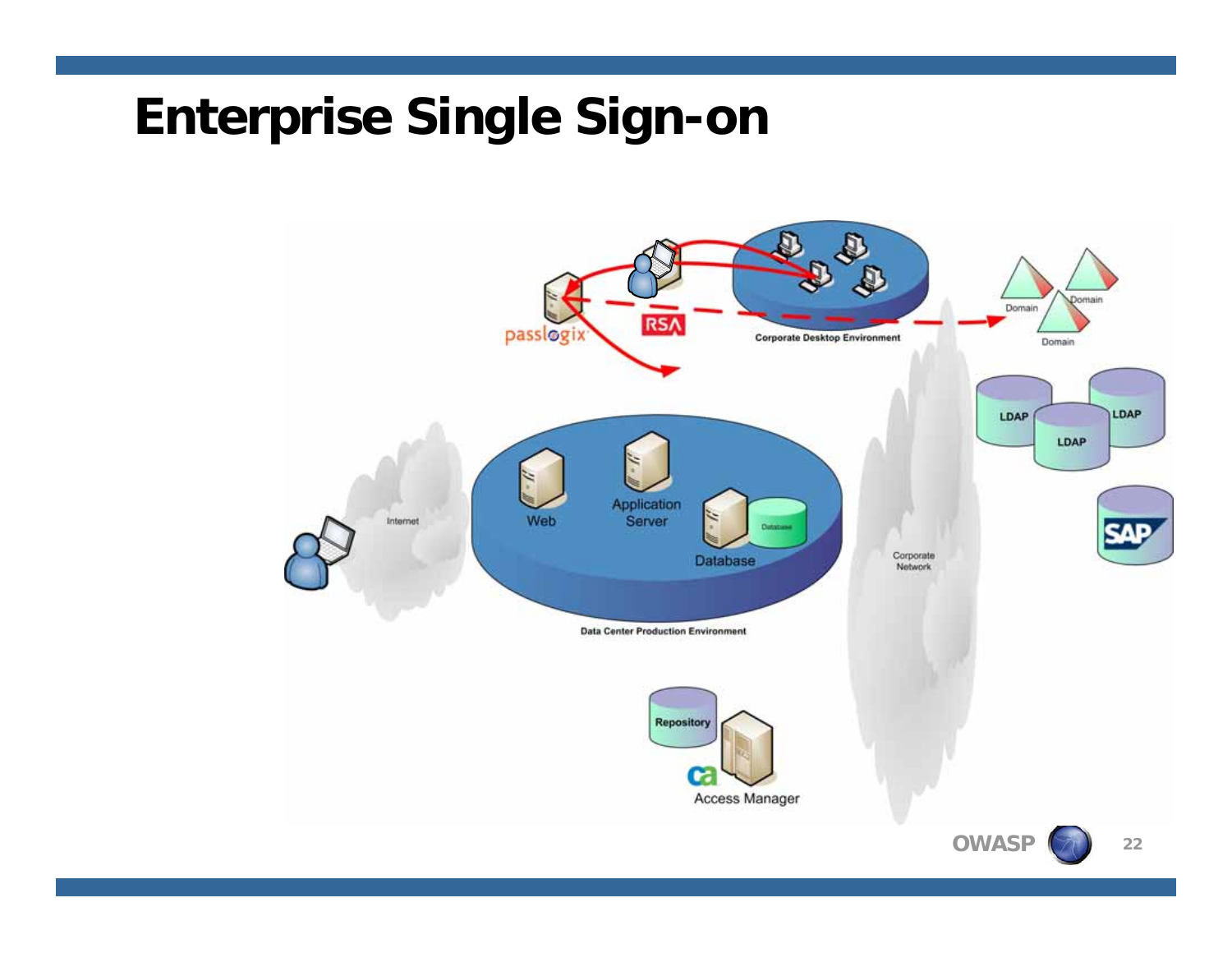# **Enterprise Single Sign-on**



**OWASP**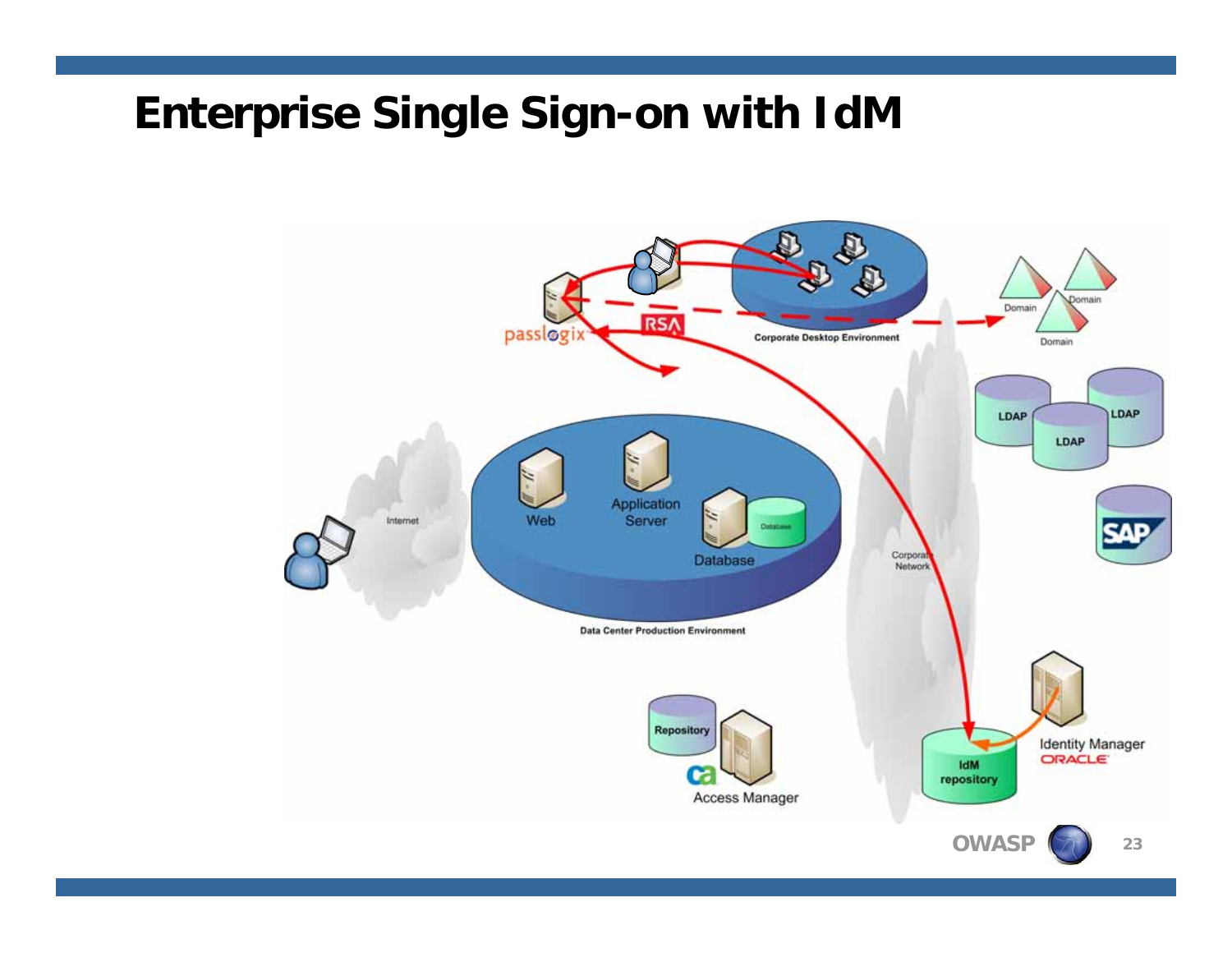## **Enterprise Single Sign-on with IdM**

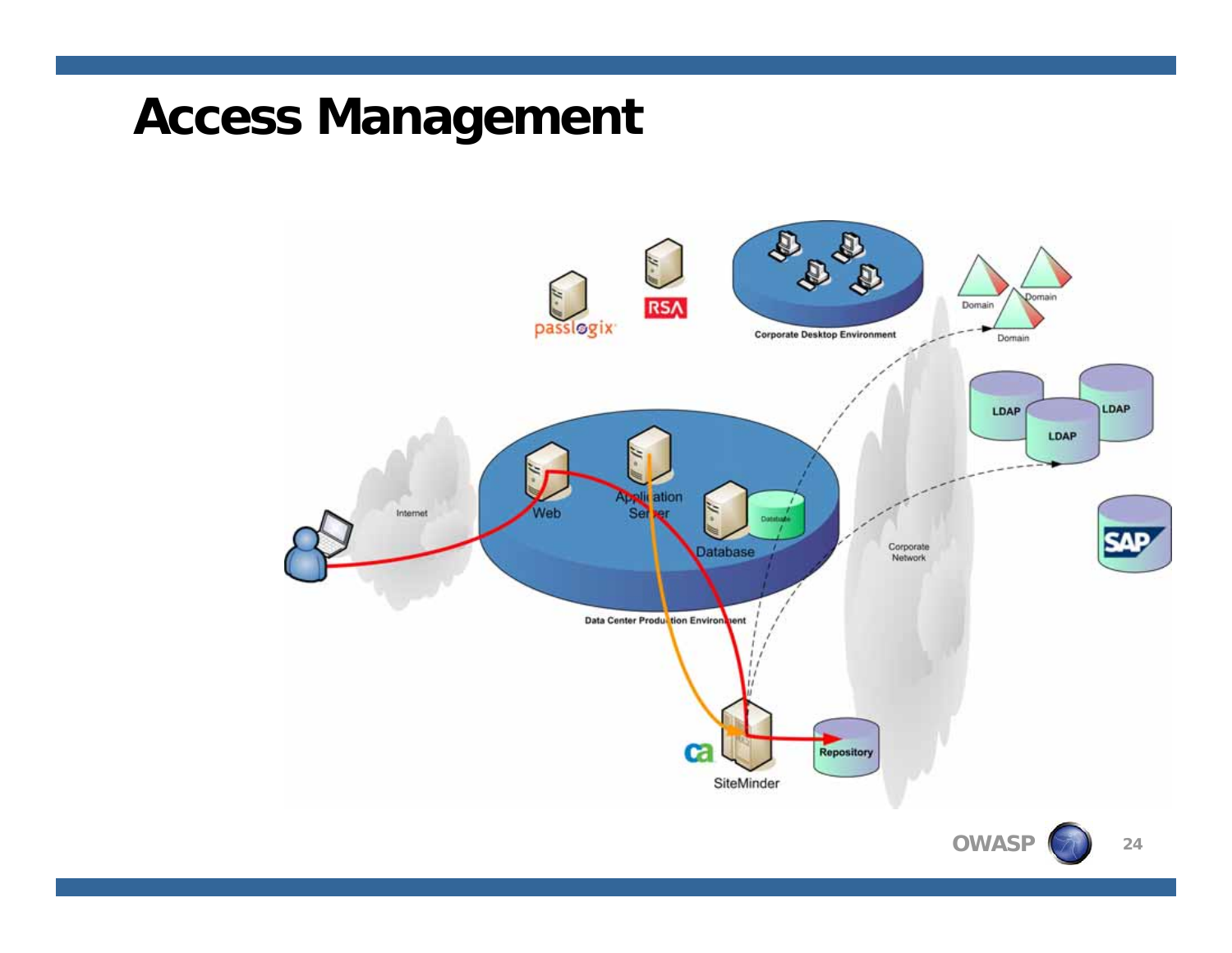## **Access Management**



**24**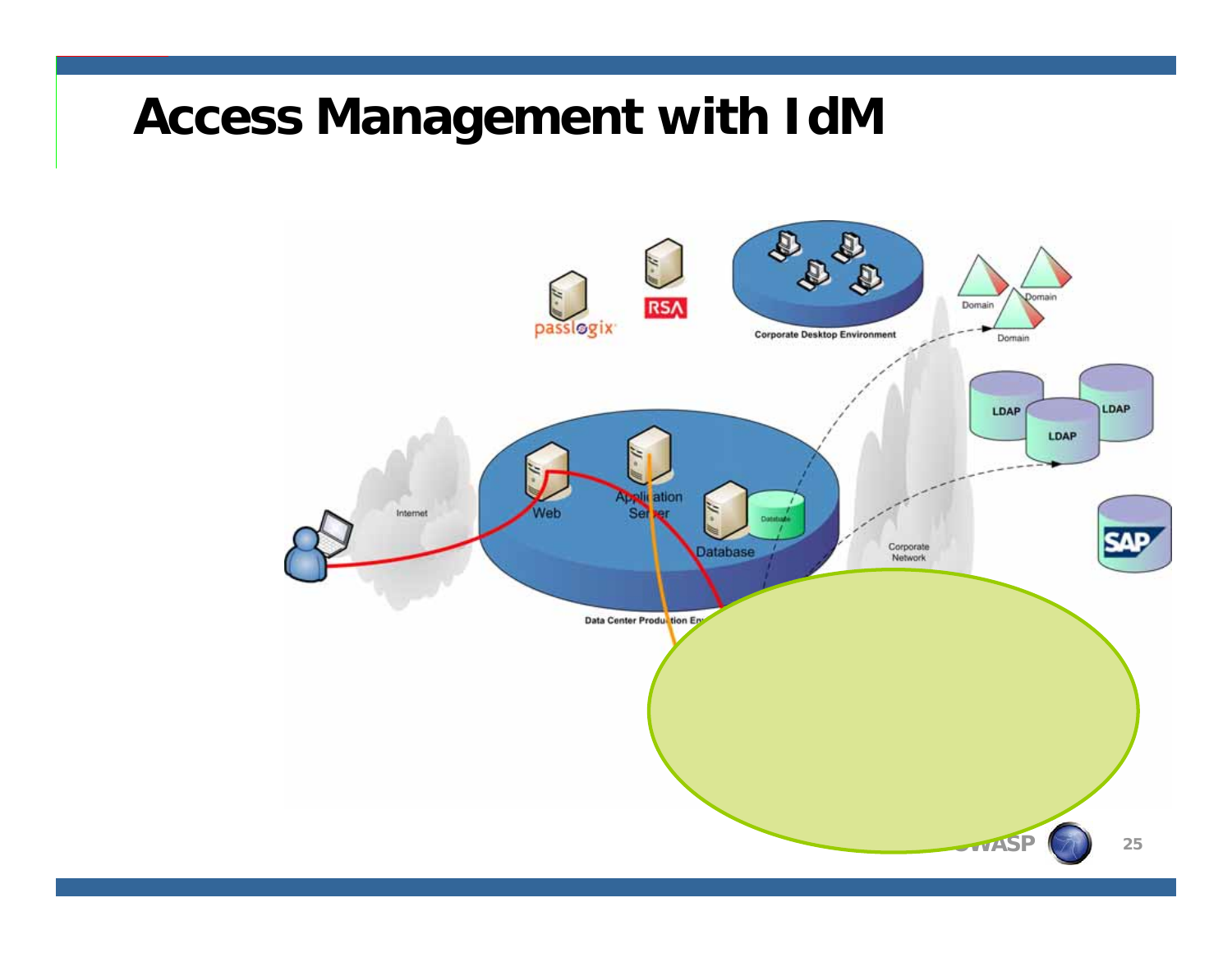## **Access Management with IdM**

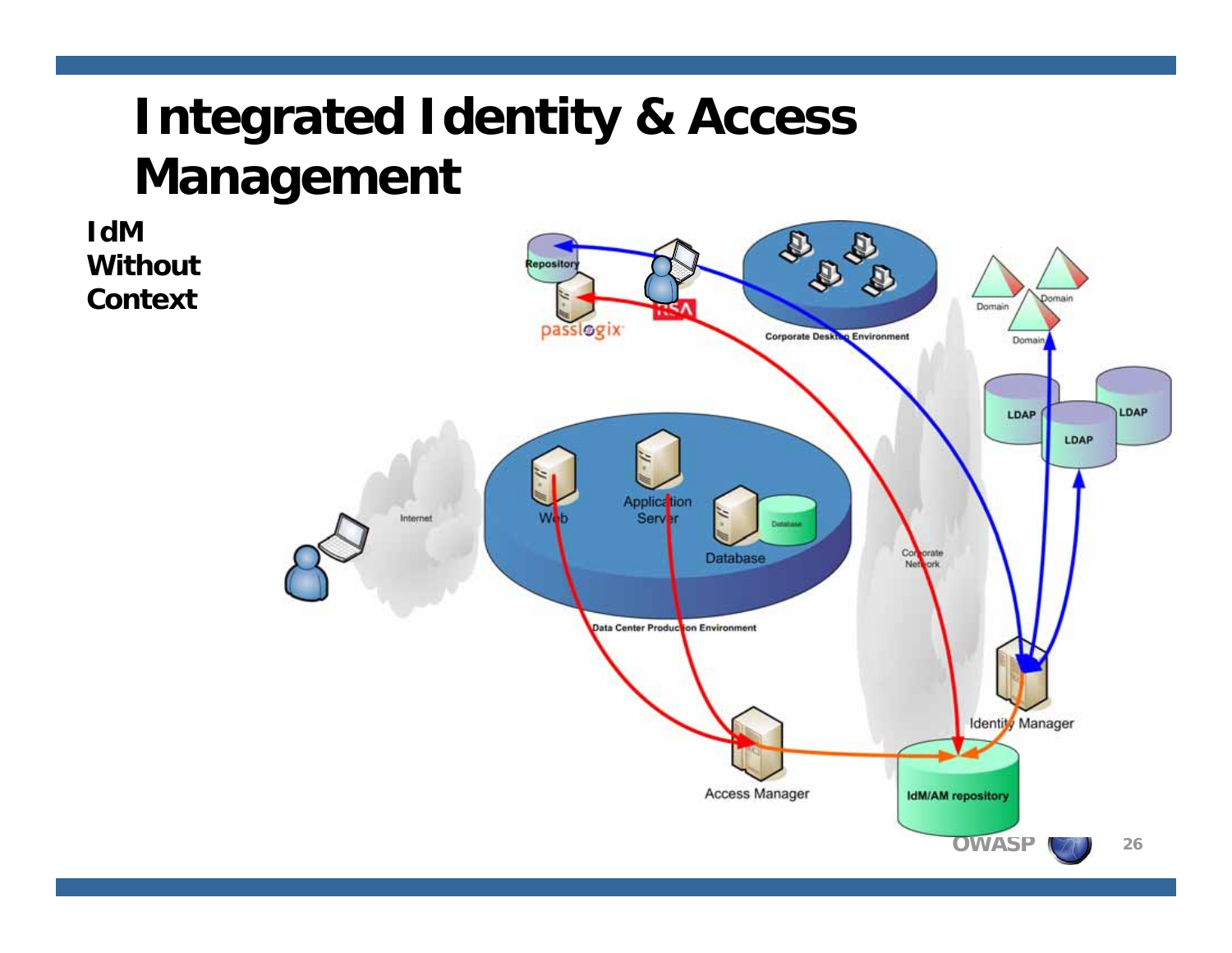# **Integrated Identity & Access Management**

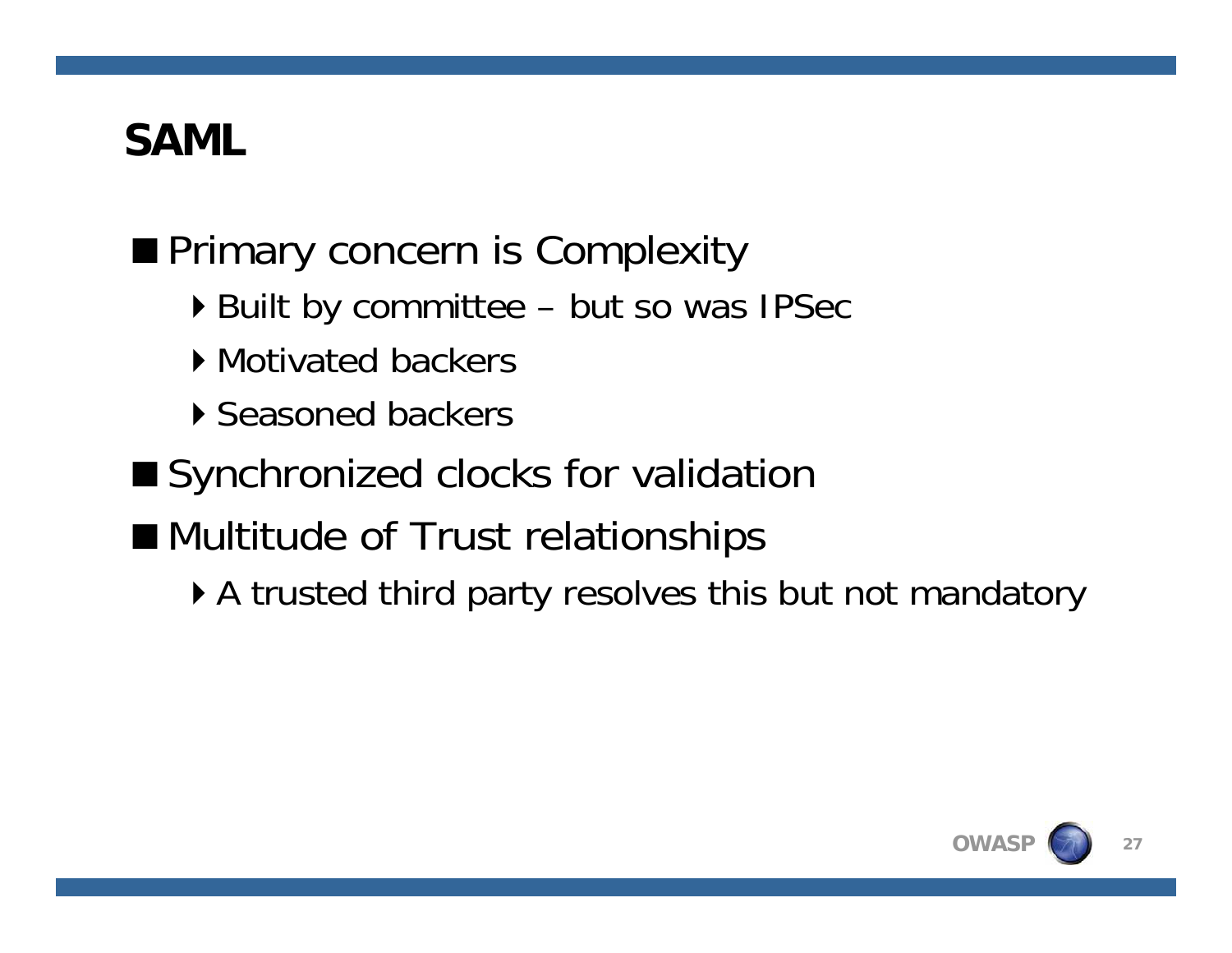## **SAML**

## **Primary concern is Complexity**

- ▶ Built by committee but so was IPSec
- ▶ Motivated backers
- ▶ Seasoned backers
- Synchronized clocks for validation
- **Multitude of Trust relationships** 
	- A trusted third party resolves this but not mandatory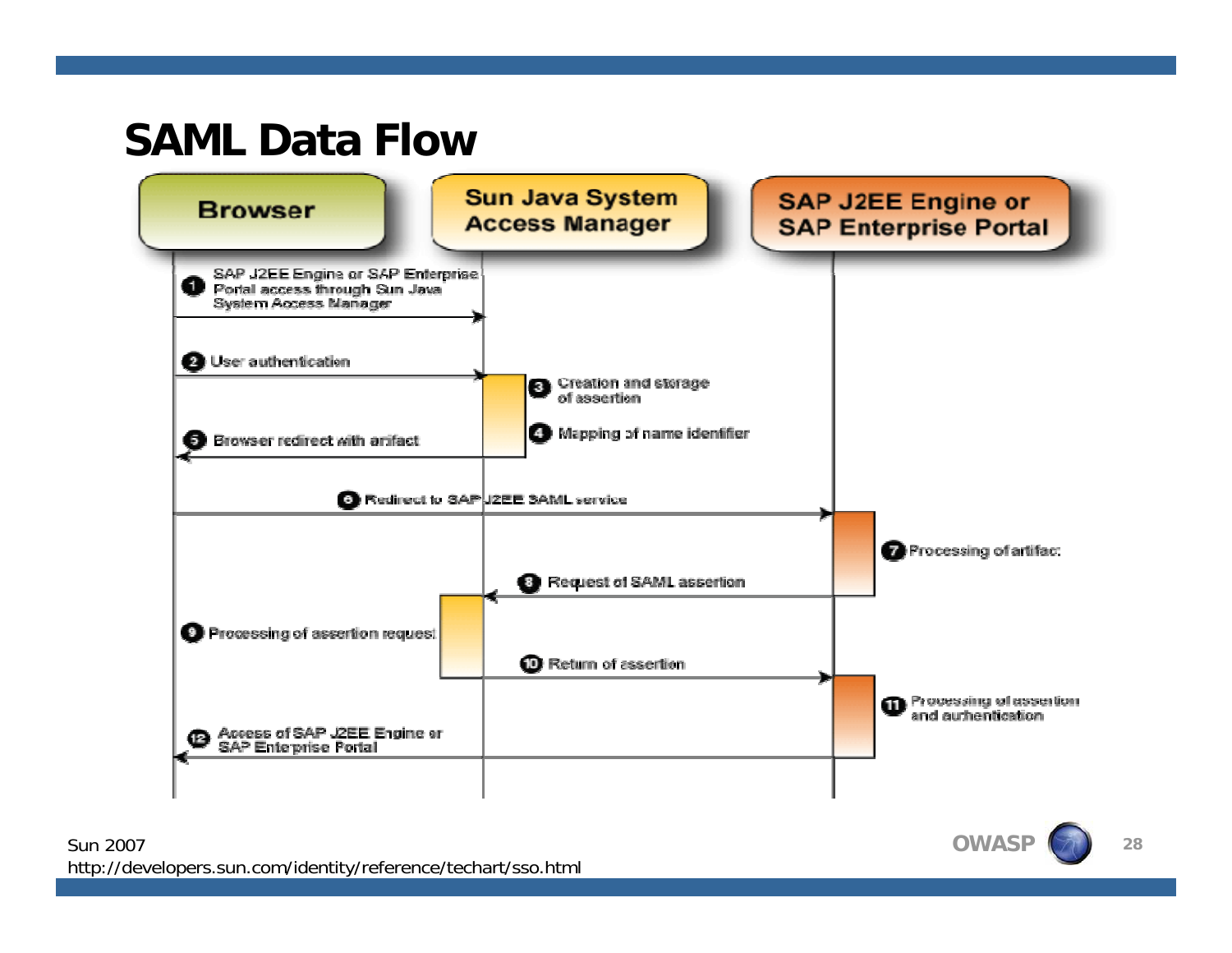### **SAML Data Flow**



Sun 2007http://developers.sun.com/identity/reference/techart/sso.html **OWASP**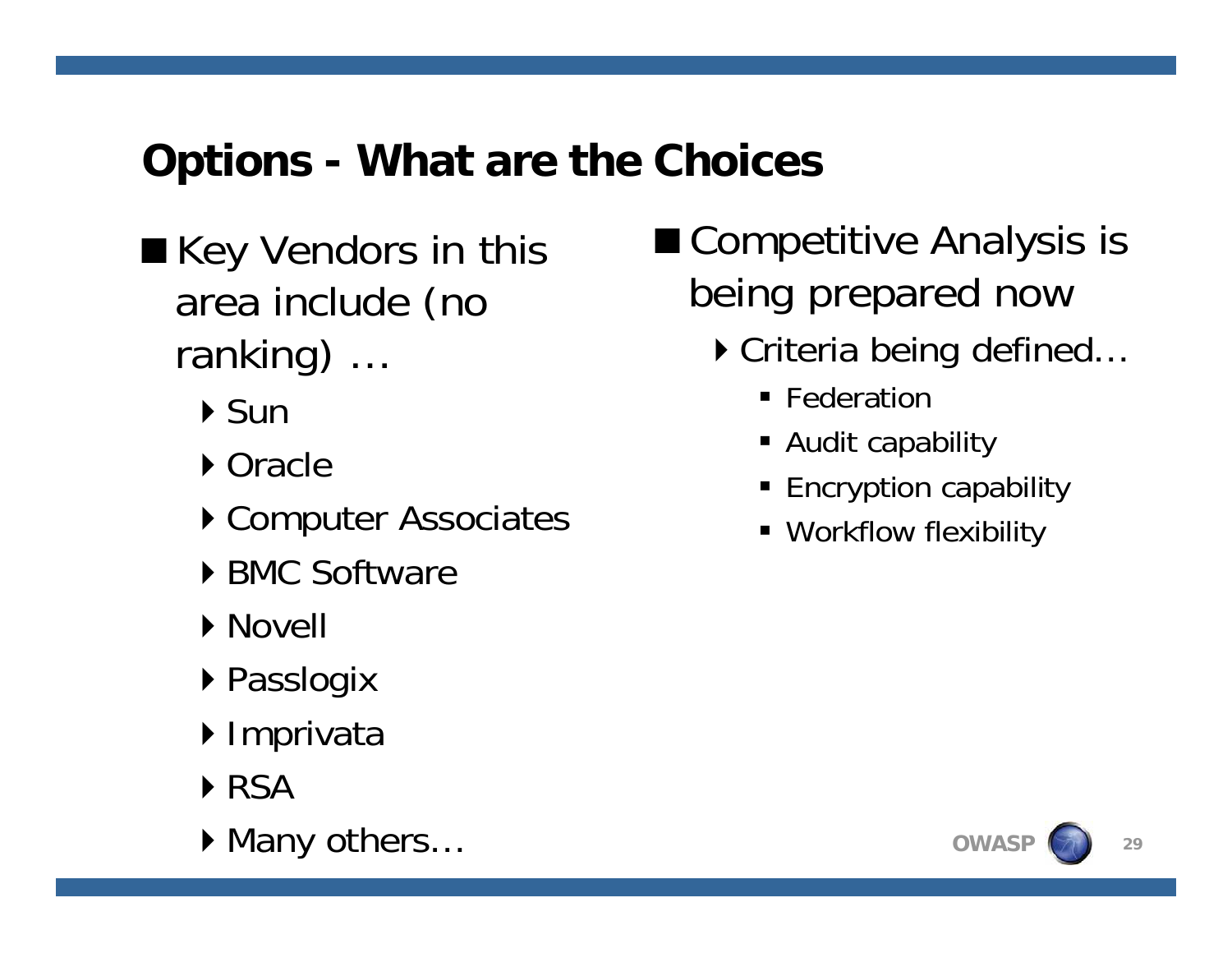## **Options - What are the Choices**

- Key Vendors in this area include (no ranking) …
	- $\triangleright$  Sun
	- ▶ Oracle
	- ▶ Computer Associates
	- ▶ BMC Software
	- **Novell**
	- ▶ Passlogix
	- ▶ Imprivata
	- ▶ RSA
	- ▶ Many others...
- Competitive Analysis is being prepared now
	- ▶ Criteria being defined...
		- **Federation**
		- Audit capability
		- Encryption capability
		- Workflow flexibility

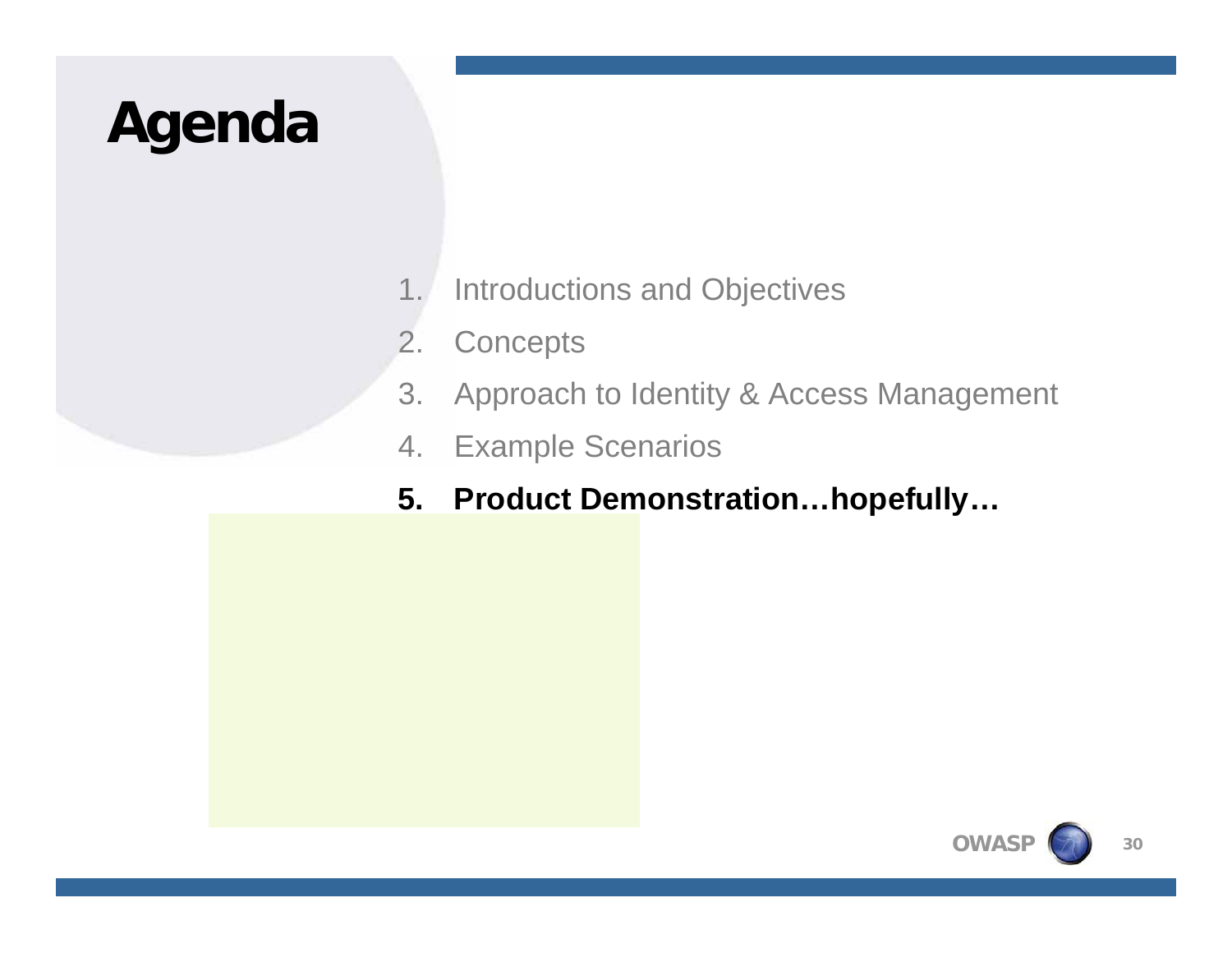# **Agenda**

- 1. Introductions and Objectives
- 2. Concepts
- 3. Approach to Identity & Access Management
- 4. Example Scenarios
- **5. Product Demonstration…hopefully…**

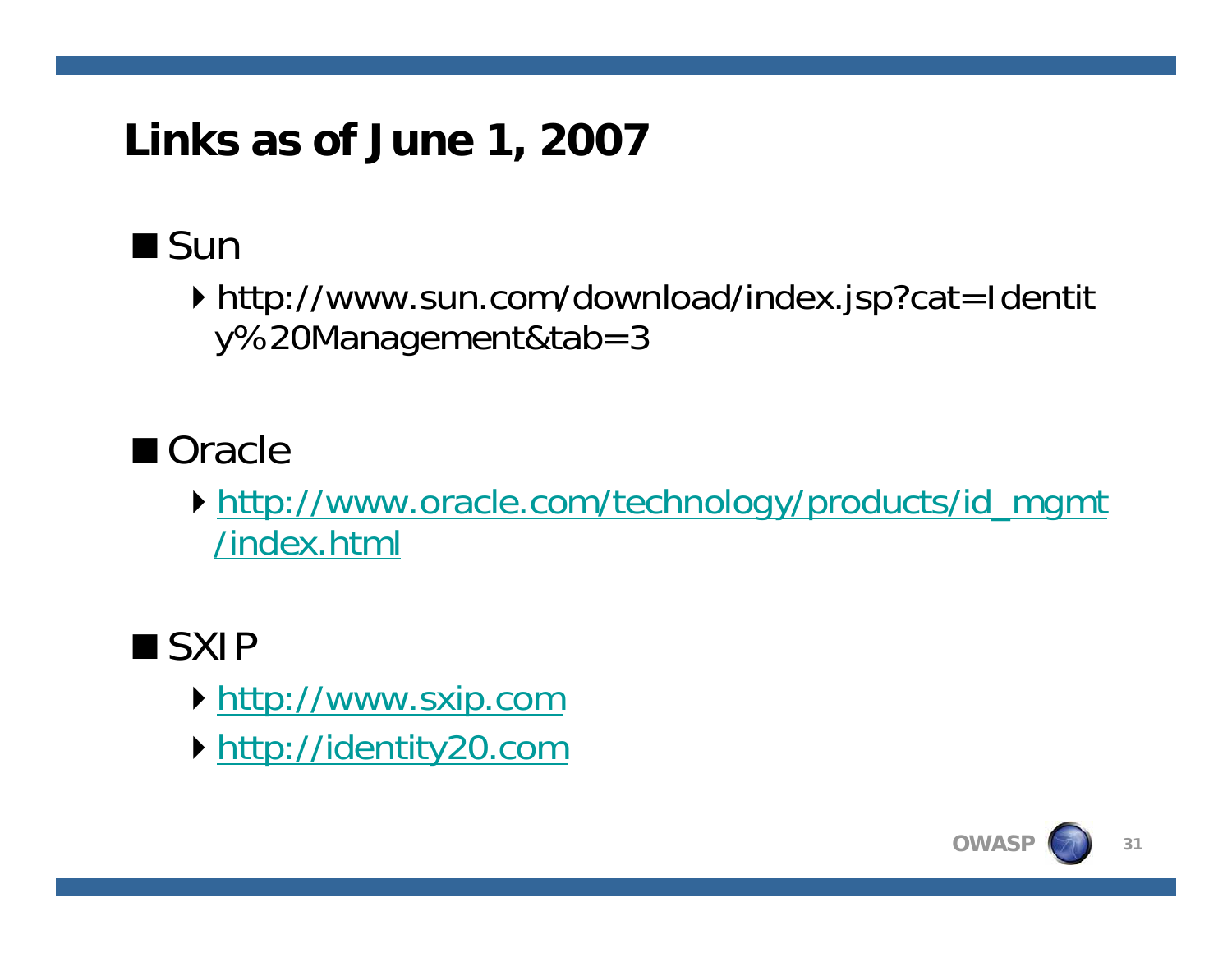## **Links as of June 1, 2007**

## $\blacksquare$  Sun

▶ http://www.sun.com/download/index.jsp?cat=Identit y%20Management&tab=3

## ■ Oracle

http://www.oracle.com/technology/products/id\_mgmt /index.html

## ■SXIP

- http://www.sxip.com
- http://identity20.com